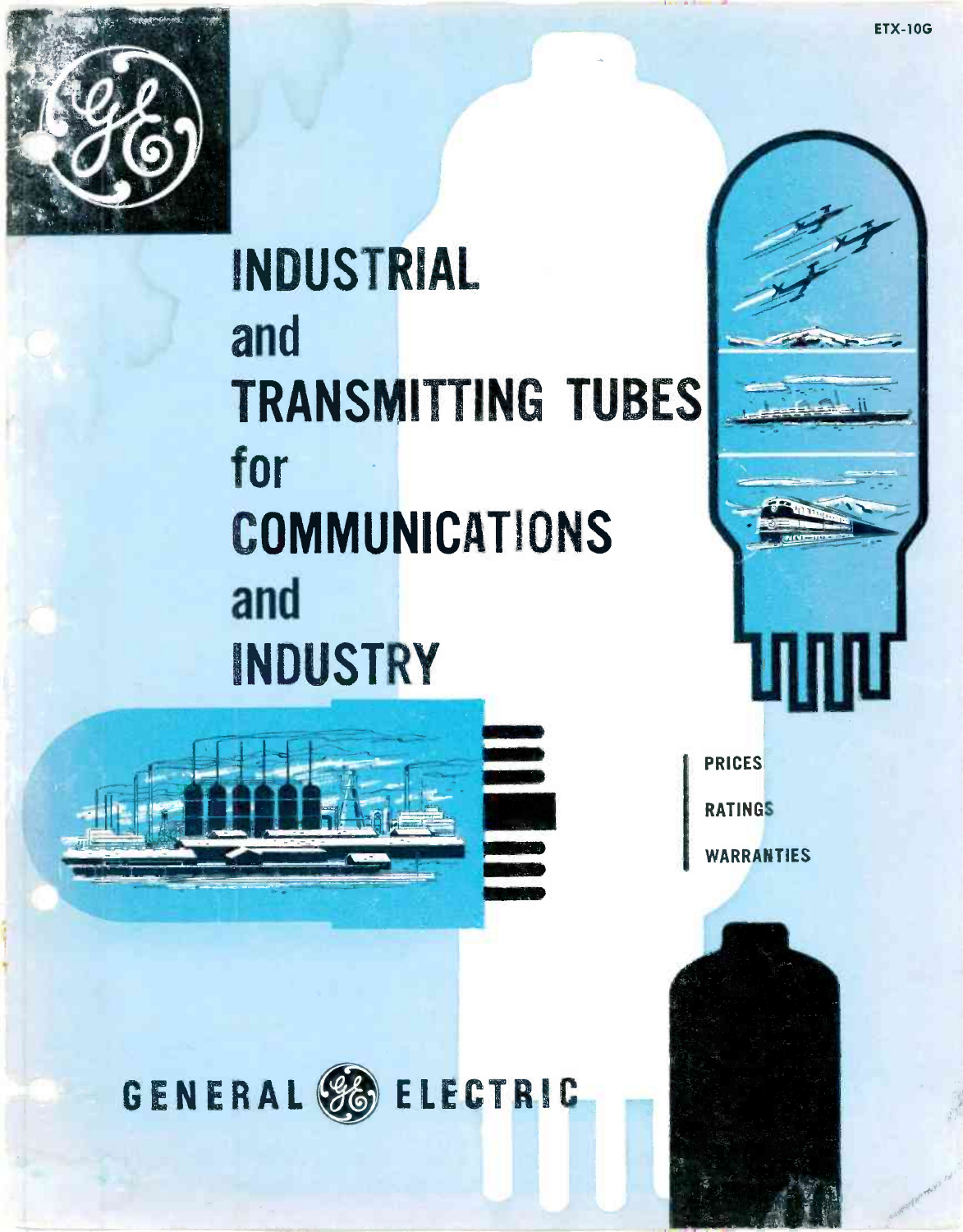

# INDUSTRIAL and **TRANSMITTING TUBES** for **COMMUNICATIONS** and INDUSTRY



**PRICES RATINGS** WARRANTIES



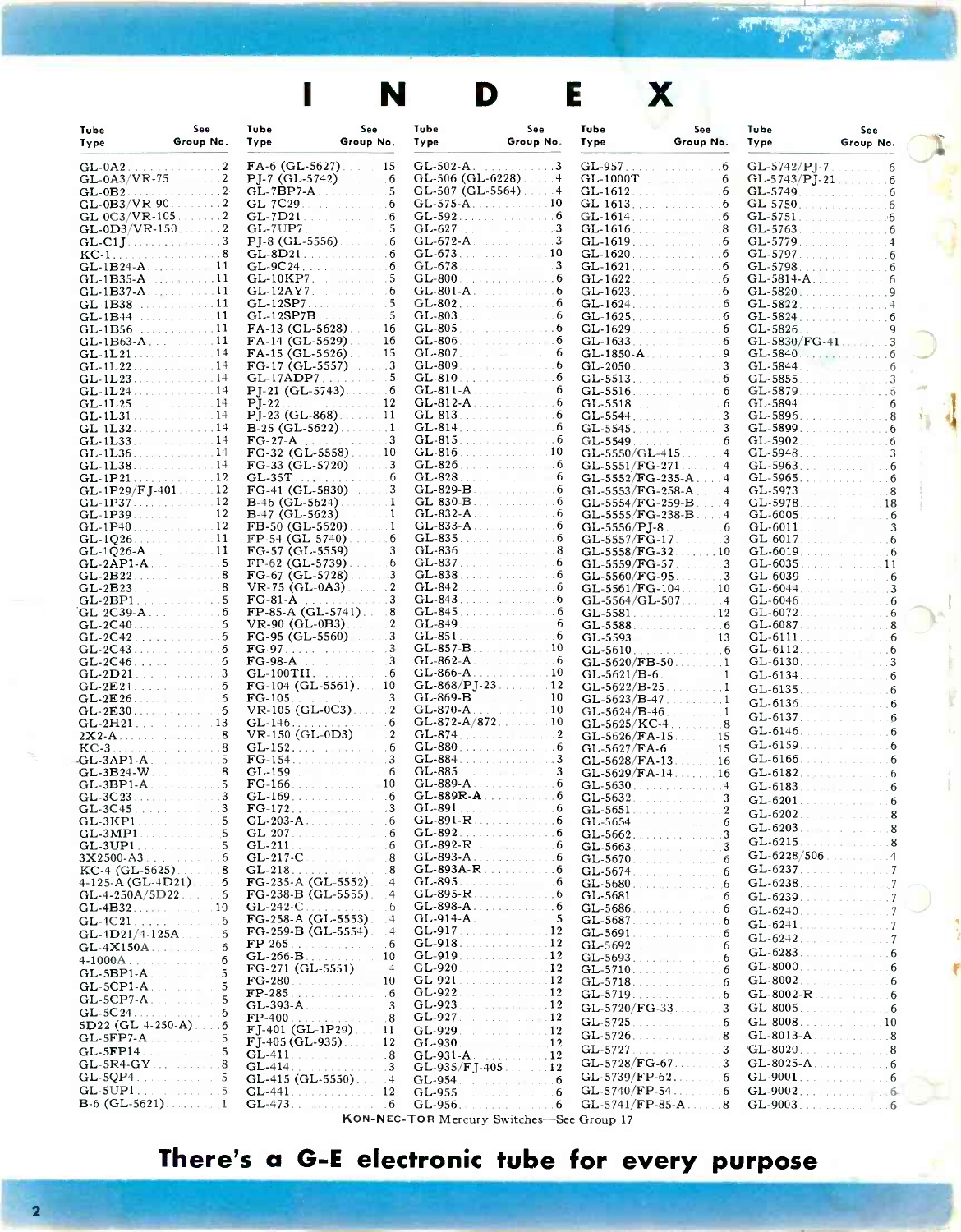**J** 

|                                               |                                     |                                              | N                                           |                                   | D                                                                                                                                                      | E                                | X.                                                           |                                                                                |                                                                                                                                                                                                                                     |  |
|-----------------------------------------------|-------------------------------------|----------------------------------------------|---------------------------------------------|-----------------------------------|--------------------------------------------------------------------------------------------------------------------------------------------------------|----------------------------------|--------------------------------------------------------------|--------------------------------------------------------------------------------|-------------------------------------------------------------------------------------------------------------------------------------------------------------------------------------------------------------------------------------|--|
| Tube<br>Type                                  | See<br>Group No.                    | Tube<br>Type                                 | See<br>Group No.                            | Tube<br>Туре                      | See<br>Group No.                                                                                                                                       | Tube<br>Type                     | See<br>Group No.                                             | Tube<br>Type                                                                   | See<br>Group No.                                                                                                                                                                                                                    |  |
| $GL-0A2$<br>$GL-0A3/VR-75$ 2                  | .                                   | $FA-6$ (GL-5627).<br><b>PJ-7 (GL-5742)</b>   | $\cdot$ 15<br>6                             | GL-502-A<br>GL-506 (GL-6228).     | . 3                                                                                                                                                    | $GL-957$                         | 6<br>GL-1000T<br>6                                           | $GL-5742/PJ-7$ .<br>$GL-5743/PJ-21$ .                                          | 6<br>6                                                                                                                                                                                                                              |  |
| $GL-0B2$                                      | .                                   | $GL-7BP7-A$                                  | 5                                           |                                   | $GL-507$ ( $GL-5564$ ).                                                                                                                                | $GL-1612$                        | <b>STATISTICS</b><br>6                                       | GL-5749                                                                        | .<br>6                                                                                                                                                                                                                              |  |
| $GL-0B3/VR-90$<br>$GL-0C3/VR-105$             |                                     | GL-7C29<br>GL-7D21                           |                                             | GL-575-A<br>$GL-592$              | 10<br>.<br>6                                                                                                                                           | $GL-1614$                        | GL-1613.<br>6                                                | $GL-5750$ .<br>$GL-5751$ .                                                     | the company's company's company's<br>6                                                                                                                                                                                              |  |
| $GL-0D3/VR-150$ .                             | . 2                                 | $GL-7UP7$ .<br>$PJ-8$ (GL-5556).             | فالتاريخ والاستراء                          |                                   | GL-627.<br>-3                                                                                                                                          | $GL-1616$                        | . 8<br>$GL-1619$ . 6                                         | GL-5763<br>GL-5779.                                                            | $\sim$ $-$                                                                                                                                                                                                                          |  |
|                                               |                                     | $GL-8D21$ .                                  | 6                                           | GL-673                            | 10                                                                                                                                                     | $GL-1620$                        | $\dots$ 6                                                    | $GL-5797$                                                                      | 6                                                                                                                                                                                                                                   |  |
| $GL-1B24-A$ . 11<br>$GL-1B35-A$ 11            |                                     | $\mathbf{GL}\text{-}10\mathbf{KP}7$          |                                             | GL-678<br>GL-800                  | 3<br><u>.</u><br>1919 - Paul Barbara, mangalakan pendadaran penganjang pada tahun 1919 - Pada Barat Pada Barat Perang dan pada tah<br>et en riche de l |                                  | $GL-1621$ . $\ldots$ . $\ldots$ 6<br>$GL-1622$ . 6           | $GL-5814-A$                                                                    |                                                                                                                                                                                                                                     |  |
| $GL-1B37-A$<br>$GL-1B38$                      | . 11                                | $GL-12AY7$ .                                 | 6                                           | $GL-801-A$ .                      | 6<br>$GL-802$<br>6                                                                                                                                     | $GL-1623$                        | . 6<br>GL-1624.<br>6                                         | $GL-5820$ .<br>GL-5822                                                         | .                                                                                                                                                                                                                                   |  |
| $GL-1B+4$                                     | . <b>. 11</b>                       | $GL-12SP7B$                                  |                                             |                                   | GL-803                                                                                                                                                 |                                  | GL-1625.<br>6                                                | GL-5824                                                                        | 6<br>.                                                                                                                                                                                                                              |  |
| GL-1B56                                       | $\ldots$ 11<br>.<br>$\overline{11}$ | FA-13 (GL-5628)<br>FA-14 (GL-5629)           | 16<br>16                                    | GL-805<br>$GL-806$ .              | 6<br>the control of the control of                                                                                                                     | GL-1629<br>GL-1633               | . 6<br>and and the same<br>6                                 | GL-5826<br>$GL-5830/FG-41$                                                     | 9<br>.                                                                                                                                                                                                                              |  |
| $GL-1L21$                                     | . 14                                | FA-15 (GL-5626)                              | . 3                                         | $GL-809$ .                        | GL-807.<br>6                                                                                                                                           |                                  | $GL-1850-A$<br>9                                             | GL-5840                                                                        | .<br>6                                                                                                                                                                                                                              |  |
| $GL-1L22$<br>$GL-1L23$ .                      | .<br>. 14                           | FG-17 (GL-5557)<br>$GL-17ADP7$ .             | <b>Contractor</b>                           |                                   | GL-810.                                                                                                                                                | GL-2050<br>GL-5513               | . 3<br>.<br>6                                                | GL-5844<br>GL-5855                                                             | and the company of the company                                                                                                                                                                                                      |  |
| $GL-1L25$ .                                   | $\sim$ 14                           | PJ-21 (GL-5743)<br>$P-I-22$                  | .                                           | $GL-812-A$                        | $GL-811-A$<br>6                                                                                                                                        | GL-5516<br>GL-5518               | 6<br>and a strategic and a strategic<br>. 6                  | GL-5879<br>GL-5894                                                             | $\overline{5}$<br>.<br>. 6                                                                                                                                                                                                          |  |
| GL-1L31                                       |                                     | $P_{J-23}$ (GL-868).                         |                                             |                                   | GL-813<br>6                                                                                                                                            | GL-5544                          | 3                                                            | GL-5896.                                                                       | .                                                                                                                                                                                                                                   |  |
| $GL-1L32$ .<br>GL-1L33.                       | . 14<br>and and and analysis of     | $FG-27-A$                                    | $B-25$ (GL-5622). 1<br>3                    | $GL-815$ .                        | 6<br>GL-814.<br>6                                                                                                                                      | GL-5545<br>GL-5549               | 3<br>and the company of the company<br>a a shekara a shekara | GL-5899.                                                                       | 6<br>6                                                                                                                                                                                                                              |  |
| $GL-1L36$ .                                   | . <del>.</del>                      | FG-32 (GL-5558)                              |                                             | $GL-816$                          | <u>.</u><br>10                                                                                                                                         | $GL-5550/GL-415$                 |                                                              |                                                                                |                                                                                                                                                                                                                                     |  |
| $GL-1L38$ .<br>$GL-1P21$                      | .<br>. 12                           | $FG-33$ (GL-5720).<br>$GL-35T$               | 3<br>6<br>.                                 | $GL-826$ .<br>$GL-828$            | 6<br>.<br>6                                                                                                                                            | GL-5551/FG-271                   | $\overline{4}$<br>$GL-5552/FG-235-A$ .                       | GL-5963.                                                                       | .<br>6                                                                                                                                                                                                                              |  |
| $GL-1P29/FJ-401$ .<br>GL-1P37                 | . 12<br>12                          | $FG-41$ (GL-5830).<br>$B-46$ (GL-5624)       | 1                                           | GL-829-B<br>$GL-830-B$            | 6<br>6                                                                                                                                                 |                                  | GL-5553/FG-258-A<br>GL-5554/FG-259-B<br>$\overline{4}$       | GL-5973<br>GL-5978                                                             |                                                                                                                                                                                                                                     |  |
| GL-1P39.                                      | 12<br>.                             | $B-47$ (GL-5623)                             | $\cdot$ 1                                   | $GL-832-A$                        | 6                                                                                                                                                      |                                  | GL-5555/FG-238-B<br>$\overline{4}$                           | $GL-6005$                                                                      | 18<br>.<br>6                                                                                                                                                                                                                        |  |
| $GL-1P+0$<br>GL-1026.                         | 12<br><u>.</u><br>11                | FB-50 (GL-5620)<br>FP-54 (GL-5740)           |                                             | GL-833-A<br>$GL-835$              | 6                                                                                                                                                      | GL-5556/PJ-8<br>GL-5557/FG-17    | 6<br>3                                                       | GL-6011<br>GL-6017                                                             | <b>Salarah Maritime</b><br>6                                                                                                                                                                                                        |  |
| $GL-1Q26-A$                                   | . 11                                | FG-57 (GL-5559)                              | 3                                           | GL-836                            | 8<br>and the control of the con-                                                                                                                       | GL-5558/FG-32                    | $\ldots$ 10                                                  | $GL-6019$ .                                                                    | 6                                                                                                                                                                                                                                   |  |
| $GL-2API-A$<br>$GL-2B22$                      | .                                   | FP-62 (GL-5739)<br>$FG-67$ (GL-5728)         | 6                                           | $GL-837$ .<br>GL-838              | .                                                                                                                                                      | GL-5559/FG-57<br>GL-5560/FG-95   | 3<br>$\ldots$ 3                                              | GL-6039                                                                        | 11<br>and the control of the control of<br>6                                                                                                                                                                                        |  |
| $GL-2B23$<br>$GL-2BP1$ , and the set $\ldots$ |                                     | $VR-75$ (GL-0A3)<br>$FG-81-A$                | $\overline{2}$                              | GL-842<br>$GL-843$ .              | 6<br>and a strip and a strip of the                                                                                                                    | $GL-5561/FG-104$                 | 10<br>. 4<br>$GL-5564/GL-507$ .                              | $GL-6044$ .<br>$GL-6046$                                                       | 3<br>and the company of the company                                                                                                                                                                                                 |  |
| $GL-2C39-A$                                   |                                     | $FP-85-A(GL-5741)$                           |                                             | GL-845                            |                                                                                                                                                        | $GL-5581$ .                      | . 12                                                         | $GL-6072$ .                                                                    | . 6                                                                                                                                                                                                                                 |  |
| $GL-2C40$ .<br>$GL-2C42$                      | .                                   | $VR-90$ (GL-0B3).<br>$FG-95$ ( $GL-5560$ ).  | 2<br>3<br>$\sim$                            |                                   | GL-849.<br>6<br>6<br>GL-851.                                                                                                                           | GL-5588<br>GL-5593               | 6<br>.                                                       | $GL-6087$<br>GL-6111.                                                          | <b>CONTRACTOR</b>                                                                                                                                                                                                                   |  |
| $GL-2C43$<br>$GL-2C46$ .                      | <u>a a wala</u> wa shekara          | $FG-97$<br>FG-98-A                           |                                             | $GL-857-B$<br>GL-862-A            | 6<br>and the contract of the contract of                                                                                                               | GL-5610                          | $-6$<br>.                                                    | GL-6112.                                                                       | and and analysis and analysis                                                                                                                                                                                                       |  |
| $GL-2D21$                                     | .                                   | $GL-100TH$ .                                 | 111111111                                   | GL-866-A                          | . 10                                                                                                                                                   | $GL-5620/FB-50$<br>$GL-5621/B-6$ | $\cdot$ 1                                                    | GL-6130.<br>$GL-6134$ . The set of the set of $GL-6134$ . The set of $GL-6134$ | 3                                                                                                                                                                                                                                   |  |
| $GL-2E24$<br>$GL-2E26$                        | .<br>6<br><b>Second Control</b>     | FG-104 (GL-5561).<br>$FG-105$                | 3<br>1111111                                | $GL-868/PJ-23$ .<br>GL-869-B      | . 12<br>10                                                                                                                                             | $GL-5622/B-25$<br>$GL-5623/B-47$ | . . <del>.</del> <b>I</b>                                    | $GL-6135$ . The set of the set of $GL-6135$                                    | 6                                                                                                                                                                                                                                   |  |
| GL-2E30                                       | 6                                   | $VR-105$ (GL-0C3).                           | $\mathbf{2}$                                |                                   | 10<br>$GL-870-A$                                                                                                                                       |                                  | $GL-5624/B-46$ . 1                                           | $GL-6136$ . $\ldots$<br>GL-6137.                                               | 6<br>6                                                                                                                                                                                                                              |  |
| GL-2H21. 13                                   |                                     | GL-146.                                      | VR-150 (GL-0D3)2                            |                                   | $GL-872-A/87210$                                                                                                                                       | $GL-5626/FA-15$                  | GL-5625/KC-4<br>.8<br>15                                     |                                                                                | GL-6146. 6                                                                                                                                                                                                                          |  |
| $KC-3$ 8<br>$GL-3AP1-A$                       |                                     | GL-152.<br>$FG-154$ .                        | 6                                           |                                   | GL-880<br>.6                                                                                                                                           |                                  | $GL-5627/FA-6$<br>15                                         | GL-6166.                                                                       | GL-6159.<br>6<br>.                                                                                                                                                                                                                  |  |
|                                               |                                     | $GL-159$ .                                   | والمتحاول والمتحاوية والمتحاوية<br>6        |                                   | $GL-885$ 3                                                                                                                                             |                                  | $GL-5628/FA-13$<br>16<br>$GL-5629/FA-14$ 16                  | <b>GL-6182</b> .                                                               | .<br>6                                                                                                                                                                                                                              |  |
| $GL-3BP1-A$                                   |                                     | $FG-166$ .                                   | . 10                                        |                                   | $GL-889-A$ 6                                                                                                                                           | GL-5630<br>GL-5632               | . 4<br>. 3                                                   | GL-6183.                                                                       | real concert.<br>$GL-6201$ . The set of the set of $\mathbb{R}^n$                                                                                                                                                                   |  |
|                                               |                                     | $FG-172$ .                                   | . 3<br>$GL-203-A$                           |                                   | GL-891 6<br>$GL-891-R$ 6                                                                                                                               |                                  |                                                              |                                                                                | 6<br>$GL-6202$ . The contract of the set of the set of the set of the set of the set of the set of the set of the set of the set of the set of the set of the set of the set of the set of the set of the set of the set of the set |  |
| GL-3KP1<br>$GL-3MP1$                          | .<br>.                              |                                              | $GL-207$ . 6                                |                                   |                                                                                                                                                        |                                  | $GL-5662$ 3                                                  |                                                                                | GL-6203.                                                                                                                                                                                                                            |  |
| $GL-3UP1$                                     | and a series of the com-            | $GL-211$<br>$GL-217-C$                       | the company of the company<br>6<br>8<br>.   |                                   | $GL-892-R$ 6<br>GL-893-A.                                                                                                                              | GL-5663<br>GL-5670               | 3<br>. 6                                                     | $GL-6215$ .                                                                    | . 8<br>$GL-6228/506$ 4                                                                                                                                                                                                              |  |
| $KC-4 (GL-5625) \ldots 8$                     |                                     | GL-218.                                      | 8                                           |                                   | $GL-893A-R$ 6                                                                                                                                          | $GL-5674$ .                      | a construction and company of the<br>6                       |                                                                                | GL-6237. 7                                                                                                                                                                                                                          |  |
| $GL-4-250A/5D22$ 6                            |                                     | $FG-235-A$ (GL-5552)<br>$FG-238-B$ (GL-5555) | 4<br>$\overline{4}$                         | $GL-895-R$ .                      | GL-895. 6<br>. 6                                                                                                                                       | GL-5681                          | .6<br>and a contract of the contract of<br>6                 |                                                                                | $GL-6238$ . $7$<br>GL-6239. 7                                                                                                                                                                                                       |  |
|                                               |                                     | $GL-242-C$                                   | . 6<br>$FG-258-A$ (GL-5553). $\downarrow$ 4 |                                   | $GL-914-A$ . The set of $5$                                                                                                                            | GL-5686<br>GL-5687               | .                                                            |                                                                                | GL-6240. 7                                                                                                                                                                                                                          |  |
| $GL-4C21$ .<br>$GL-4D21/4-125A$ 6             | . 6                                 |                                              | $FG-259-B$ $(GL-5554)$ 4                    |                                   | $GL-917$ 12                                                                                                                                            | GL-5691                          | 1.91111111111111116<br>. 6                                   |                                                                                | GL-6241.<br>GL-6242. 7                                                                                                                                                                                                              |  |
| $GL-4X150A$ . The set of $\mathbb{Z}$         | 6<br>6                              |                                              | $GL-266-B$ . 10                             | GL-919                            | GL-918. 12<br>o o o o o o o o o o o $\mathbf{12}$                                                                                                      | GL-5692                          | . 6<br>6                                                     |                                                                                | GL-6283. $6283$                                                                                                                                                                                                                     |  |
| $4-1000A$ .<br>$GL-5BP1-A$ .                  | graduate and a series of<br>. 5     |                                              |                                             |                                   | GL-920. 12<br>. 12                                                                                                                                     |                                  | 6                                                            |                                                                                | GL-8000.<br>-6                                                                                                                                                                                                                      |  |
| $GL-5CPI-A$ .<br>$GL-5CP7-A$                  | 5                                   |                                              | $FG-280$ . 10<br>$FP-285$                   | $GL-921$ .<br>GL-922              | . 12                                                                                                                                                   |                                  | GL-5718.<br>6<br>GL-5719. 6                                  |                                                                                | -6<br>$GL-8002-R$ . 6                                                                                                                                                                                                               |  |
| $GL-5C24$ .                                   | . 6                                 | $GL-393-A$                                   | 3                                           | GL-923<br>GL-927                  | . 12<br>. 12                                                                                                                                           |                                  | $GL-5720/FG-33$<br>3                                         |                                                                                | GL-8005.<br>-6                                                                                                                                                                                                                      |  |
| $5D22$ (GL 4-250-A) $\ldots$ 6<br>$GL-5FP7-A$ | . 5                                 |                                              | $FJ-401$ (GL-1P29) 11                       | GL-929                            | . 12                                                                                                                                                   | GL-5725                          | .<br>6<br>GL-5726.<br>8                                      |                                                                                | GL-8013-A.                                                                                                                                                                                                                          |  |
| $GL-5FP14$                                    | . 5                                 |                                              | $FJ-405$ (GL-935). 12<br>$GL-411$           | GL-930<br>a salar<br>$GL-931-A$ . | . 12<br>. 12                                                                                                                                           | GL-5727                          | 3<br>and a state and and                                     |                                                                                | $GL-8020$ . $8$                                                                                                                                                                                                                     |  |
| $GL-5R4-GY$ 8<br>$GL-5QP4$ 5                  |                                     | GL-414                                       | . 3                                         |                                   | $GL-935/FJ-405$ . 12                                                                                                                                   |                                  | $GL-5728/FG-67$<br>3<br>6                                    |                                                                                | GL-8025-A.                                                                                                                                                                                                                          |  |
|                                               |                                     |                                              | $GL-441$ . 12                               | GL-955                            | . 6                                                                                                                                                    |                                  | $GL-5740/FP-54$<br>6                                         |                                                                                | GL-9002. 6                                                                                                                                                                                                                          |  |
| <b>B</b> -6 (GL-5621). $\ldots$ , 1           |                                     |                                              | $GL-473$ . 6                                |                                   | GL-956.<br>6                                                                                                                                           |                                  | $GL-5741/FP-85-A$ 8                                          |                                                                                | GL-9003. 6                                                                                                                                                                                                                          |  |

KON-NEC-TOR Mercury Switches-See Group 17

# There's a G-E electronic tube for every purpose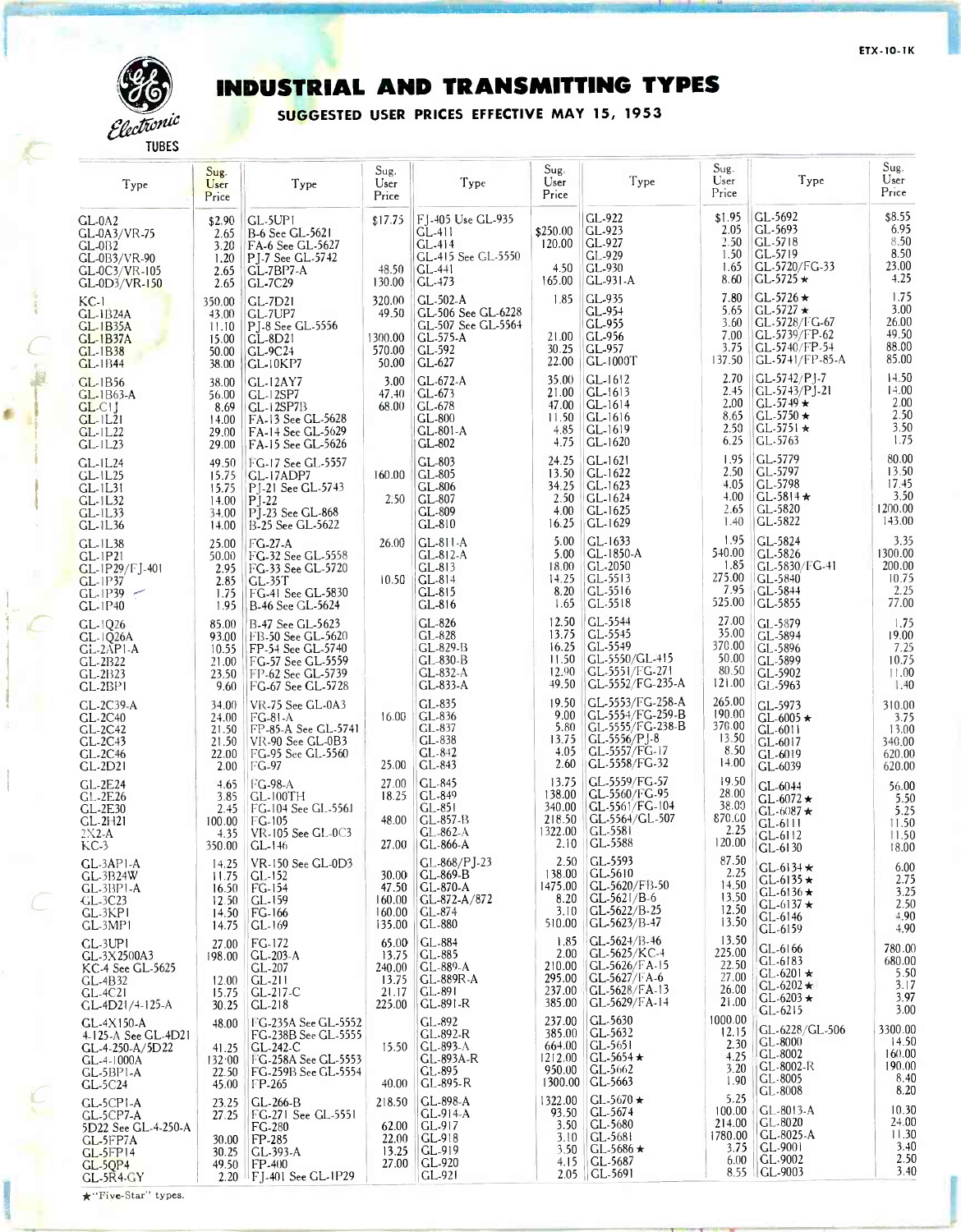

# INDUSTRIAL AND TRANSMITTING TYPES

SUGGESTED USER PRICES EFFECTIVE MAY 15, 1953

| Type                                                                                                        | Sug.<br>User<br>Price                               | Type                                                                                                                       | Sug.<br>User<br>Price                                | Type                                                                                    | Sug.<br>User<br>Price                                      | Type                                                                                                       | $\operatorname{Sug}.$<br>User<br>Price               | Type                                                                                                          | Sug.<br>User<br>Price                                 |
|-------------------------------------------------------------------------------------------------------------|-----------------------------------------------------|----------------------------------------------------------------------------------------------------------------------------|------------------------------------------------------|-----------------------------------------------------------------------------------------|------------------------------------------------------------|------------------------------------------------------------------------------------------------------------|------------------------------------------------------|---------------------------------------------------------------------------------------------------------------|-------------------------------------------------------|
| $GL-0A2$<br>GL-0A3/VR-75<br>$CL-0B2$<br>GL-0B3/VR-90<br>GL-0C3/VR-105<br>GL-0D3/VR-150                      | \$2.90<br>2.65<br>3.20<br>1.20<br>2.65<br>2.65      | GL-5UP1<br>B-6 See GL-5621<br>FA-6 See GL-5627<br>P <sub>1</sub> -7 See GL-5742<br>$GL-7BP7-A$<br><b>GL-7C29</b>           | \$17.75<br>48.50<br>130.00                           | F1-405 Use GL-935<br>$GL-411$<br>$GL-414$<br>GL-415 See GL-5550<br>$GL-441$<br>$GL-473$ | \$250.00<br>120.00<br>4.50<br>165.00                       | GL-922<br>$CL-923$<br>GL-927<br>GL-929<br>GL-930<br>GL-931-A                                               | \$1.95<br>2.05<br>2.50<br>1.50<br>1.65<br>8.60       | GL-5692<br>GL-5693<br>GL-5718<br>GL-5719<br>GL-5720/FG-33<br>$GL-5725 \star$                                  | \$8.55<br>6.95<br>$8.50\,$<br>8.50<br>23.00<br>4.25   |
| $KC-1$<br><b>GL-1B24A</b><br>$GL-1B35A$<br><b>GL-1B37A</b><br>$CL-1B38$<br>$GL-1B44$                        | 350.00<br>43.00<br>11.10<br>15.00<br>50.00<br>38.00 | GL-7D21<br>GL-7UP7<br>PJ-8 See GL-5556<br>$CL-8D21$<br>$GL-9C24$<br>$GL-10K$ P7                                            | 320.00<br>49.50<br>1300.00<br>570.00<br>50.00        | GL-502-A<br>GL-506 See GL-6228<br>GL-507 See GL-5564<br>GL-575-A<br>GL-592<br>GL-627    | 1.85<br>21.00<br>30.25<br>22.00                            | GL-935<br>GL-954<br>GL-955<br>GL-956<br>$CL-957$<br>$GL-1000T$                                             | 7.80<br>5.65<br>3.60<br>7.00<br>3.75<br>137.50       | $CL-5726$ $\star$<br>$GL$ -5727 $\star$<br>GL-5728/FG-67<br>GL-5739/FP-62<br>GL-5740/FP-54<br>GL-5741/FP-85-A | 1.75<br>3.00<br>26.00<br>49.50<br>88.00<br>85.00      |
| $CL-1B56$<br>$GL-1B63-A$<br>$GL$ -CIJ<br>$GL-1L21$<br>$GL-1L22$<br>$GL-1L23$                                | 38.00<br>56.00<br>8.69<br>14.00<br>29.00<br>29.00   | <b>GL-12AY7</b><br>GL-12SP7<br>$GL-12SP7B$<br>FA-13 See GL-5628<br>FA-14 See GL-5629<br>FA-15 See GL-5626                  | 3.00<br>47.40<br>68.00                               | GL-672-A<br>$CL-673$<br>$CL-678$<br>$CL-800$<br>GL-801-A<br>GL-802                      | 35.00<br>21.00<br>47.00<br>11.50<br>4.85<br>4.75           | GL-1612<br>$ CL-1613$<br>$GL-1614$<br>$ GL-1616$<br>$GL-1619$<br>$CL-1620$                                 | 2.70<br>2.45<br>2.00<br>8.65<br>2.50<br>6.25         | GL-5742/PJ-7<br>$CL-5743/P$ ]-21<br>$CL-5749 \star$<br>$CL-5750 \star$<br>$CL-5751*$<br>GL-5763               | 14.50<br>14.00<br>2.00<br>2.50<br>3.50<br>1.75        |
| $GL-1L24$<br>$GL-1L25$<br>GL-1L31<br>GL-1L32<br>$GL-1L33$<br>$GL-1L36$                                      | 49.50<br>15.75<br>15.75<br>14.00<br>34.00<br>14.00  | FG-17 See GL-5557<br>GL-17ADP7<br>PJ-21 See GL-5743<br>$P$ J-22<br>PJ-23 See GL-868<br>B-25 See GL-5622                    | 160.00<br>2.50                                       | GL-803<br>$CL-805$<br>GL-806<br>$CL-807$<br>GL-809<br>$CL-810$                          | 24.25<br>13.50<br>34.25<br>2.50<br>4.00<br>16.25           | $CL-1621$<br>$GL-1622$<br>$GL-1623$<br>$GL-1624$<br>GL-1625<br>$GL-1629$                                   | 1.95<br>2.50<br>4.05<br>4.00<br>2.65<br>1.40         | GL-5779<br>GL-5797<br>GL-5798<br>$GL-5814 \star$<br>GL-5820<br>GL-5822                                        | 80.00<br>13.50<br>17.45<br>3.50<br>1200.00<br>143.00  |
| $GL-1L38$<br>$GL-1P21$<br>GL-1P29/FJ-401<br>$GL-1P37$<br>$GL-1P39$<br>$\overline{\phantom{a}}$<br>$GL-1P40$ | 25.00<br>50.00<br>2.95<br>2.85<br>1.75<br>1.95      | FG-27-A<br>FG-32 See GL-5558<br>FG-33 See GL-5720<br>$GL-35T$<br>FG-41 See GL-5830<br>B-46 See GL-5624                     | 26.00<br>10.50                                       | GL-811-A<br>$GL-812-A$<br>$CL-813$<br>GL-814<br>GL-815<br>$CL-816$                      | 5.00<br>5.00<br>18.00<br>14.25<br>8.20<br>1.65             | $GL-1633$<br>$GL-1850-A$<br>$GL-2050$<br>$CL-5513$<br>$GL-5516$<br>$CL-5518$                               | 1.95<br>540.00<br>1.85<br>275.00<br>7.95<br>525.00   | GL-5824<br>GL-5826<br>GL-5830/FG-41<br><b>CL-5840</b><br>GL-5844<br>GL-5855                                   | 3.35<br>1300.00<br>200.00<br>10.75<br>2.25<br>77.00   |
| $CL-1Q26$<br>$GL-IQ26A$<br>$GL-2AP1-A$<br>$CL-2B22$<br>GL-2B23<br>$GL-2BP1$                                 | 85.00<br>93.00<br>10.55<br>21.00<br>23.50<br>9.60   | B-47 See GL-5623<br>FB-50 See GL-5620<br>FP-54 See GL-5740<br>FG-57 See GL-5559<br>FP-62 Sec GL-5739<br> FG-67 See GL-5728 |                                                      | GL-826<br>GL-828<br>GL-829-B<br>GL-830-B<br>GL-832-A<br>GL-833-A                        | 12.50<br>13.75<br>16.25<br>11.50<br>12.90<br>49.50         | GL-5544<br>$CL-55+5$<br>GL-5549<br>GL-5550/GL-415<br>GL-5551/FG-271<br>GL-5552/FG-235-A                    | 27.00<br>35.00<br>370.00<br>50.00<br>80.50<br>121.00 | GL-5879<br>GL-5894<br>GL-5896<br>GL-5899<br>GL-5902<br>GL-5963                                                | 1.75<br>19.00<br>7.25<br>10.75<br>11.00<br>1.40       |
| <b>GL-2C39-A</b><br>$CL-2C40$<br>$CL-2C42$<br>$CL-2C+3$<br>GL-2C46<br>$CL-2D21$                             | 34.00<br>24.00<br>21.50<br>21.50<br>22.00<br>2.00   | VR-75 See GL-0A3<br>$FG-81-A$<br>FP-85-A See GL-5741<br>$VR-90$ See $GL-0B3$<br>FG-95 See GL-5560<br>FG-97                 | 16.00<br>25.00                                       | GL-835<br>$GL-836$<br>GL-837<br>GL-838<br>GL-842<br>GL-843                              | 19.50<br>9.00<br>5.80<br>13.75<br>4.05<br>2.60             | GL-5553/FG-258-A<br>GL-5554/FG-259-B<br>GL-5555/FG-238-B<br>GL-5556/PJ-8<br>GL-5557/FG-17<br>GL-5558/FG-32 | 265.00<br>190.00<br>370.00<br>13.50<br>8.50<br>14.00 | GL-5973<br>$CL-6005 \star$<br>$GL-6011$<br>GL-6017<br>GL-6019<br>GL-6039                                      | 310.00<br>3.75<br>13.00<br>340.00<br>620.00<br>620.00 |
| $CL-2E24$<br>GL-2E26<br>GL-2E30<br>$GL-2H21$<br>$2X2-A$<br>$KC-3$                                           | 4.65<br>3.85<br>2.45<br>100.00<br>4.35<br>350.00    | FG-98-A<br>$CL-100TH$<br>FG-104 See GL-5561<br>$\Gamma$ G-105<br>VR-105 See GL-0C3<br>$GL-146$                             | 27.00<br>18.25<br>48.00<br>27.00                     | GL-845<br>GL-849<br>$CL-851$<br>$CL-857-B$<br>GL-862-A<br>$CL-866-A$                    | 13.75<br>138.00<br>340.00<br>218.50<br>1322.00<br>2.10     | GL-5559/FG-57<br>GL-5560/FG-95<br>GL-5561/FG-104<br>GL-5564/GL-507<br>GL-5581<br> GL.5588                  | 19.50<br>28.00<br>38.00<br>870.00<br>2.25<br>120.00  | GL-6044<br>$CL-6072 \star$<br>$GL-6087$ *<br>$GL-6111$<br>$GL-6112$<br>GL-6130                                | 56.00<br>5.50<br>5.25<br>11.50<br>11.50<br>18.00      |
| GL-3AP1-A<br>GL-3B24W<br>$GL-3BP1-A$<br>$CL-3C23$<br>GL-3KP1<br>$GL-3MP1$                                   | 14.25<br>11.75<br>16.50<br>12.50<br>14.50<br>14.75  | VR-150 See GL-0D3<br>$GL-152$<br>FG-154<br>$CL-159$<br>FG-166<br>$GL-169$                                                  | 30.00<br>47.50<br>160.00<br>160.00<br>135.00         | GL-868/PJ-23<br>$CL-869-B$<br>$CL-870-A$<br>GL-872-A/872<br>$GL-874$<br>$CL-880$        | 2.50<br>138.00<br>1475.00<br>8.20<br>3.10<br>510.00        | GL-5593<br>GL-5610<br>GL-5620/FB-50<br>$GL-5621/B-6$<br>GL-5622/B-25<br>GL-5623/B-47                       | 87.50<br>2.25<br>14.50<br>13.50<br>12.50<br>13.50    | $GL-6134$ *<br>$GL-6135 \star$<br>$CL-6136 \star$<br>$GL-6137 \star$<br>$GL-6146$<br>$CL-6159$                | 6.00<br>2.75<br>3.25<br>2.50<br>4.90<br>4.90          |
| CL-3UPI<br>GL-3X2500A3<br>KC-4 See GL-5625<br>$GL-4B32$<br>$GL-4C21$<br>$CL-4D21/4-125-A$                   | 27.00<br>198.00<br>12.00<br>15.75<br>30.25          | FG-172<br>GL-203-A<br>GL-207<br>$GL-211$<br>GL-217-C<br>$GL-218$                                                           | 65.00<br>13.75<br>240.00<br>13.75<br>21.17<br>225.00 | GL-884<br>GL-885<br>$GL-889-A$<br>$CL-889R-A$<br>GL-891<br>GL-891-R                     | 1.85<br>2.00<br>210.00<br>295.00<br>237.00<br>385.00       | GL-5624/B-46<br>$CL-5625/KC-4$<br>GL.5626/FA.15<br>GL-5627/FA-6<br>GL-5628/FA-13<br>GL-5629/FA-14          | 13.50<br>225.00<br>22.50<br>27.00<br>26.00<br>21.00  | $GL-6166$<br>$GL-6183$<br>$GL-6201 \star$<br>$GL-6202 \star$<br>$GL-6203 \star$<br>$GL-6215$                  | 780.00<br>680.00<br>5.50<br>3.17<br>3.97<br>3.00      |
| $CL-4X150-A$<br>4-125-A See GL-4D21<br>GL-4-250-A/5D22<br>GL-4-1000A<br>$GL-5BP1-A$<br>$CL-5C24$            | 48.00<br>41.25<br>132.00<br>22.50<br>45.00          | FG-235A See GL-5552<br>FG-238B See GL-5555<br>GL-242-C<br>FG-258A See GL-5553<br>FG-259B See GL-5554<br>$FP-265$           | 15.50<br>40.00                                       | GL-892<br>GL-892-R<br>$GL-893-A$<br>GL-893A-R<br>GL-895<br>GL-895-R                     | 237.00<br>385.00<br>664.00<br>1212.00<br>950.00<br>1300.00 | GL-5630<br>GL-5632<br>$CL-5651$<br>$GL-5654*$<br>GL-5662<br>$GL-5663$                                      | 1000.00<br>12.15<br>2.30<br>4.25<br>3.20<br>1.90     | GL-6228/GL-506<br>GL-8000<br>$GL-8002$<br>GL-8002-R<br>GL-8005<br>GL-8008                                     | 3300.00<br>14.50<br>160.00<br>190.00<br>8.40<br>8.20  |
| GL-5CP1-A<br>GL-5CP7-A<br>5D22 See GL-4-250-A<br>GL-5FP7A<br>$GL-5FP14$<br>$GL-5QP4$<br>GL-5R4-GY           | 23.25<br>27.25<br>30.00<br>30.25<br>49.50<br>2.20   | $GL-266-B$<br>FG-271 See GL-5551<br>FG-280<br>FP-285<br>GL-393-A<br>FP-400<br><b>IFJ-401 See GL-1P29</b>                   | 218.50<br>62.00<br>22.00<br>13.25<br>27.00           | GL-898-A<br>$GL-914-A$<br>GL-917<br>GL-918<br>$GL-919$<br>GL-920<br>$CL-921$            | 1322.00<br>93.50<br>3.50<br>3.10<br>3.50<br>4.15           | $GL-5670 \star$<br>GL-5674<br>GL-5680<br>$ GL-568 $<br>$GL-5686 \star$<br>$CL-5687$<br>2.05   GL-5691      | 5.25<br>100.00<br>214.00<br>1780.00<br>3.75<br>6.00  | GL-8013-A<br>GL-8020<br>GL-8025-A<br>$GL-9001$<br>GL-9002<br>8.55   GL-9003                                   | 10.30<br>24.00<br>11.30<br>3.40<br>2.50<br>3.40       |

\*"Five-Star" types.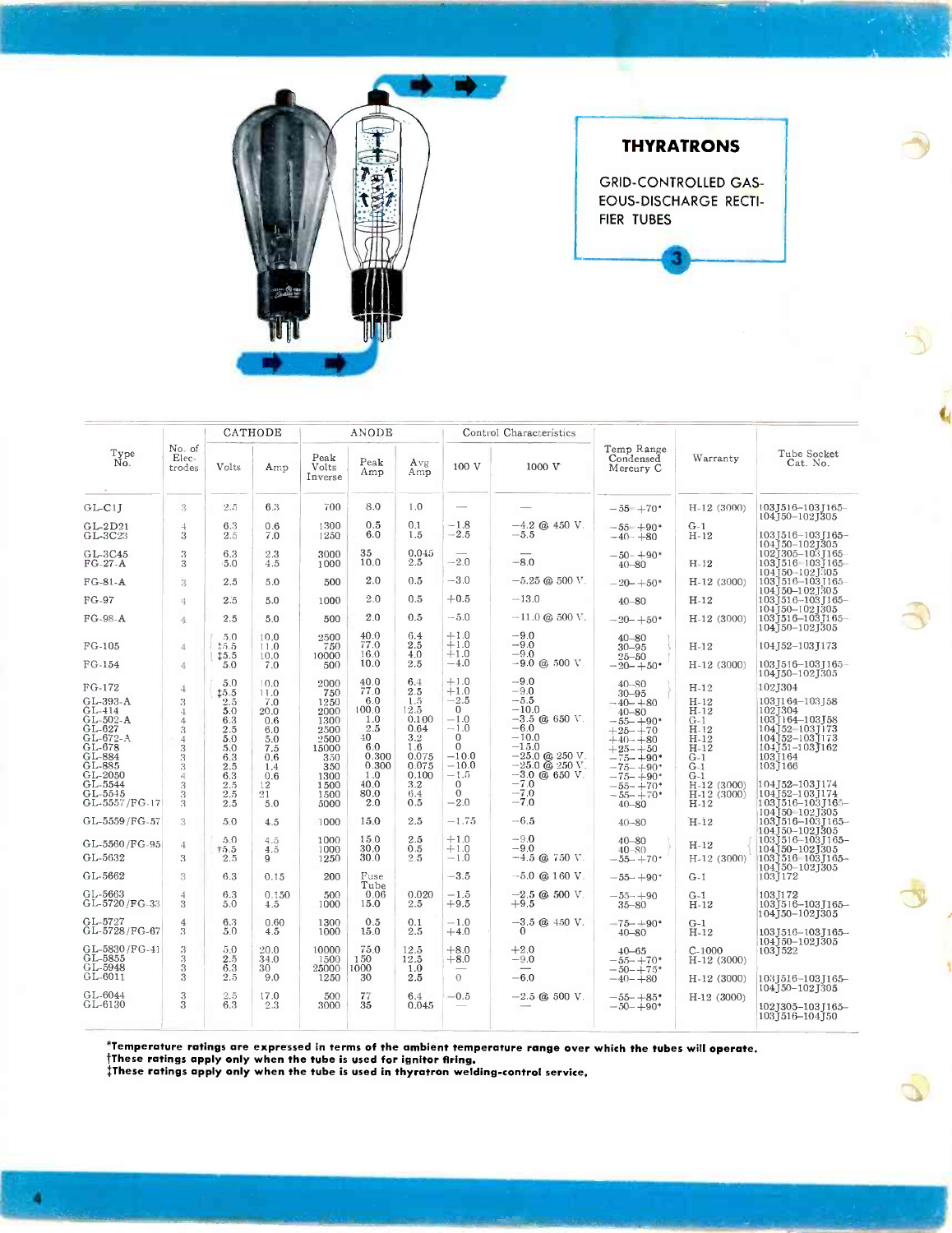

## **THYRATRONS**

**GRID-CONTROLLED GAS-**EOUS-DISCHARGE RECTI-FIER TUBES

|                                                                                                 |                                                                                                 | CATHODE                                                         |                                                              |                                                                     | ANODE                                                                |                                                                           |                                                                                                | Control Characteristics                                                                                                                                        |                                                                                                                                     |                                                                                    |                                                                                                                               |  |
|-------------------------------------------------------------------------------------------------|-------------------------------------------------------------------------------------------------|-----------------------------------------------------------------|--------------------------------------------------------------|---------------------------------------------------------------------|----------------------------------------------------------------------|---------------------------------------------------------------------------|------------------------------------------------------------------------------------------------|----------------------------------------------------------------------------------------------------------------------------------------------------------------|-------------------------------------------------------------------------------------------------------------------------------------|------------------------------------------------------------------------------------|-------------------------------------------------------------------------------------------------------------------------------|--|
| Type<br>No.                                                                                     | No. of<br>Elec-<br>trodes                                                                       | Volts                                                           | Amp                                                          | Peak<br>Volts<br>Inverse                                            | Peak<br>Amp                                                          | Avg<br>Amp                                                                | 100 V                                                                                          | 1000 V                                                                                                                                                         | Temp Range<br>Condensed<br>Mercury C                                                                                                | Warranty                                                                           | Tube Socket<br>Cat. No.                                                                                                       |  |
| $GL-Cl$ <sup>T</sup>                                                                            | 3                                                                                               | 2.5                                                             | 6.3                                                          | 700                                                                 | 8.0                                                                  | 1.0                                                                       | $\sim$                                                                                         |                                                                                                                                                                | $-55 + 70$ *                                                                                                                        | $H-12(3000)$                                                                       | 103J516-103J165-<br>104150-1021305                                                                                            |  |
| $GL-2D21$<br>GL-3C23                                                                            | $\overline{4}$<br>$\overline{3}$                                                                | 6.3<br>2.5                                                      | 0.6<br>7.0                                                   | 1300<br>1250                                                        | 0.5<br>6.0                                                           | 0.1<br>1.5                                                                | $-1.8$<br>$-2.5$                                                                               | $-4.2$ @ 450 V.<br>$-5.5$                                                                                                                                      | $-55 + 90*$<br>$-40 - +80$                                                                                                          | $G-1$<br>$H-12$                                                                    | 103   516 – 103   165 –<br>104J50-102J305                                                                                     |  |
| GL-3C45<br>$FG-27-A$                                                                            | 3<br>3                                                                                          | 6.3<br>5.0                                                      | $2.3\,$<br>4.5                                               | 3000<br>1000                                                        | 35<br>10.0                                                           | 0.045<br>2.5                                                              | $-2.0$                                                                                         | $-8.0$                                                                                                                                                         | $-50-+90*$<br>$40 - 80$                                                                                                             | $H-12$                                                                             | 102] 305-103 [165-<br>1031516 1031165<br>104150--1021305                                                                      |  |
| $FG-81-A$                                                                                       | 3                                                                                               | 2.5                                                             | 5.0                                                          | 500                                                                 | 2.0                                                                  | 0.5                                                                       | $-3.0$                                                                                         | $-5.25$ @ 500 V.                                                                                                                                               | $-20 - +50*$                                                                                                                        | $H-12(3000)$                                                                       | 103 1516 - 103 1165                                                                                                           |  |
| FG-97                                                                                           | $\frac{1}{2}$                                                                                   | 2.5                                                             | 5.0                                                          | 1000                                                                | 2.0                                                                  | 0.5                                                                       | $+0.5$                                                                                         | $-13.0$                                                                                                                                                        | $40 - 80$                                                                                                                           | $H-12$                                                                             | 104150-1021305<br>103J516-103J165-                                                                                            |  |
| FG-98-A                                                                                         | $\overline{4}$                                                                                  | 2.5                                                             | 5.0                                                          | 500                                                                 | 2.0                                                                  | 0.5                                                                       | $-5.0$                                                                                         | $-11.0$ @ 500 V.                                                                                                                                               | $-20 - +50*$                                                                                                                        | $H-12(3000)$                                                                       | 104150-1021305<br>1031516-1031165-<br>104150-1021305                                                                          |  |
| $FG-105$                                                                                        | $\overline{4}$                                                                                  | 5.0<br>15.5<br>15.5                                             | 10.0<br>11.0<br>10.0                                         | 2500<br>750<br>10000                                                | 40.0<br>77.0<br>16.0                                                 | 6.4<br>2.5<br>4.0                                                         | $+1.0$<br>$+1.0$<br>$+1.0$                                                                     | $-9.0$<br>$-9.0$<br>$-9.0$                                                                                                                                     | $40 - 80$<br>$30 - 95$<br>$25 - 50$                                                                                                 | $H-12$                                                                             | 104 J52-103 J173                                                                                                              |  |
| FG-154                                                                                          | $\overline{4}$                                                                                  | 5.0                                                             | 7.0                                                          | 500                                                                 | 10.0                                                                 | 2.5                                                                       | $^{-4.0}$                                                                                      | $-9.0$ @ 500 V.                                                                                                                                                | $-20 - +50*$                                                                                                                        | $H-12(3000)$                                                                       | 103 1516-103 1165-<br>104J50-102J305                                                                                          |  |
| FG-172                                                                                          | $\div$                                                                                          | 5.0<br>15.5                                                     | 10.0<br>11.0                                                 | 2000<br>750                                                         | 40.0<br>77.0                                                         | 6.4<br>2.5                                                                | $+1.0$<br>$+1.0$                                                                               | $-9.0$<br>$-9.0$                                                                                                                                               | $40 - 80$<br>$30 - 95$                                                                                                              | $H-12$                                                                             | 102J304                                                                                                                       |  |
| GL-393-A<br>$GL-414$<br>GL-502-A<br>GL-627<br>GL-672-A<br>GL-678<br>GL-884<br>GL-885<br>GL-2050 | 3<br>$\mathbf 4$<br>$\overline{4}$<br>$\overline{\mathbf{3}}$<br>$\frac{4}{3}$<br>$\frac{3}{3}$ | $2.5\,$<br>5.0<br>6.3<br>2.5<br>5.0<br>5.0<br>6.3<br>2.5<br>6.3 | 7.0<br>20.0<br>0.6<br>6.0<br>5.0<br>7.5<br>0,6<br>1.4<br>0.6 | 1250<br>2000<br>1300<br>2500<br>2500<br>15000<br>350<br>350<br>1300 | 6.0<br>100.0<br>1.0<br>$^{2.5}_{40}$<br>6.0<br>0.300<br>0.300<br>1.0 | 1.5<br>12.5<br>0.100<br>0.64<br>$3.2\,$<br>1.6<br>0.075<br>0.075<br>0.100 | $-2.5$<br>$\Omega$<br>$-1.0$<br>$-1.0$<br>$\Omega$<br>$\Omega$<br>$-10.0$<br>$-10.0$<br>$-1.5$ | $-5.5$<br>$-10.0$<br>$-3.5$ @ 650 V.<br>$-6.0$<br>$-10.0$<br>$-15.0$<br>$-25.0$ @ 250 V.<br>$-25.0 \; \textcircled{a} \; 250 \; \text{V}$ .<br>$-3.0$ @ 650 V. | $-40-+80$<br>$40 - 80$<br>$-55 - +90*$<br>$+25 - +70$<br>$+40 - +80$<br>$+25 - +50$<br>$-75 - +90*$<br>$-75 - +90*$<br>$-75 - +90*$ | $H-12$<br>$H-12$<br>$G-1$<br>$H-12$<br>$H-12$<br>$H-12$<br>$G-1$<br>$G-1$<br>$G-1$ | 103 [164-103 [58<br>1021304<br>103J164–103J58<br>104]52 1031173<br>104]52-103]173<br>$104J51 - 103J162$<br>1031164<br>1031166 |  |
| GL-5544<br>GL-5545<br>GL-5557/FG-17                                                             | $\frac{4}{3}$<br>$\frac{3}{3}$                                                                  | 2.5<br>2.5<br>2.5                                               | 12<br>21<br>5.0                                              | 1500<br>1500<br>5000                                                | 40.0<br>80.0<br>2.0                                                  | $3.2\,$<br>6.4<br>0.5                                                     | $\mathbf{0}$<br>$\Omega$<br>$-2.0$                                                             | $-7.0$<br>$-7.0$<br>$-7.0$                                                                                                                                     | $-55 - +70*$<br>$-55 - +70*$<br>$40 - 80$                                                                                           | H-12 (3000)<br>$H-12(3000)$<br>$H-12$                                              | 104   52 - 103   174<br>104 152-103 1174<br>1031516–1031165–<br>104150 102J305                                                |  |
| GL-5559/FG-57                                                                                   | 3                                                                                               | 5.0                                                             | 4.5                                                          | 1000                                                                | 15.0                                                                 | 2.5                                                                       | $-1.75$                                                                                        | $-6.5$                                                                                                                                                         | $40 - 80$                                                                                                                           | $H-12$                                                                             | 103 516 - 103 1165 -<br>104J50-102J305                                                                                        |  |
| GL-5560/FG-95<br>GL-5632                                                                        | $\overline{4}$<br>3                                                                             | 5.0<br>$+5.5$<br>2.5                                            | 4.5<br>4.5<br>9                                              | 1000<br>1000<br>1250                                                | 15.0<br>30.0<br>30.0                                                 | 2.5<br>0.5<br>2.5                                                         | $+1.0$<br>$+1.0$<br>$-1.0$                                                                     | $-9.0$<br>$-9.0$<br>$-4.5$ (a) $750$ V.                                                                                                                        | $40 - 80$<br>$40 - 80$<br>$-55 - +70*$                                                                                              | $H-12$<br>$H-12(3000)$                                                             | $103$ J $516 - 103$ J $165 -$<br>104150-1021305<br>1031516 1031165-<br>104150-1021305                                         |  |
| GL-5662                                                                                         | 3                                                                                               | 6.3                                                             | 0.15                                                         | 200                                                                 | Fuse<br>Tube                                                         |                                                                           | $-3.5$                                                                                         | $-5.0$ @ 160 V.                                                                                                                                                | $-55 - +90*$                                                                                                                        | $G-1$                                                                              | 103J172                                                                                                                       |  |
| GL-5663<br>GL-5720/FG-33                                                                        | $\overline{4}$<br>$\overline{3}$                                                                | 6.3<br>5.0                                                      | 0.150<br>4.5                                                 | 500<br>1000                                                         | 0.06<br>15.0                                                         | 0.020<br>2.5                                                              | $-1.5$<br>$+9.5$                                                                               | $-2.5$ @ 500 V.<br>$+9.5$                                                                                                                                      | $-55 - +90$<br>$35 - 80$                                                                                                            | $G-1$<br>$H-12$                                                                    | 103 T172<br>1031516-1031165-<br>104   50 – 102   305                                                                          |  |
| GL-5727<br>GL-5728/FG-67                                                                        | $\overline{4}$<br>3                                                                             | 6.3<br>5.0                                                      | 0.60<br>4.5                                                  | 1300<br>1000                                                        | 0.5<br>15.0                                                          | 0.1<br>2.5                                                                | $-1.0$<br>$+4.0$                                                                               | $-3.5$ @ $450$ V.<br>$\Omega$                                                                                                                                  | $-75 + 90*$<br>$40 - 80$                                                                                                            | $G-1$<br>$H-12$                                                                    | 1031516-1031165-<br>104   50 - 102   305                                                                                      |  |
| GL-5830/FG-41<br>GL-5855<br>GL-5948                                                             | 3<br>333                                                                                        | 5.0<br>2.5<br>6.3                                               | 20.0<br>34.0<br>30                                           | 10000<br>1500<br>25000                                              | 75.0<br>150<br>1000                                                  | 12.5<br>12.5<br>1.0                                                       | $+8.0$<br>$+8.0$                                                                               | $+2.0$<br>$-9.0$                                                                                                                                               | $40 - 65$<br>$-55 - +70*$<br>$-50 - +75*$                                                                                           | $C-1000$<br>H-12 (3000)                                                            | 1031522                                                                                                                       |  |
| GL-6011                                                                                         |                                                                                                 | 2.5                                                             | 9.0                                                          | 1250                                                                | 30                                                                   | 2.5                                                                       | $\theta$                                                                                       | $-6.0$                                                                                                                                                         | $-40 - +80$                                                                                                                         | H-12 (3000)                                                                        | 1031516-1031165-<br>104]50-102]305                                                                                            |  |
| GL-6044<br>GL-6130                                                                              | $\sqrt{3}$<br>$\overline{\mathbf{3}}$                                                           | 2.5<br>6.3                                                      | 17.0<br>2.3                                                  | 500<br>3000                                                         | 77<br>35                                                             | 6.4<br>0.045                                                              | $-0.5$                                                                                         | $-2.5$ @ 500 V.                                                                                                                                                | $-55 - +85*$<br>$-50 - +90*$                                                                                                        | $H-12(3000)$                                                                       | 102J305-103J165-<br>1031516-104150                                                                                            |  |

\*Temperature ratings are expressed in terms of the ambient temperature range over which the tubes will operate.<br>†These ratings apply only when the tube is used for ignitor firing.<br>‡These ratings apply only when the tube is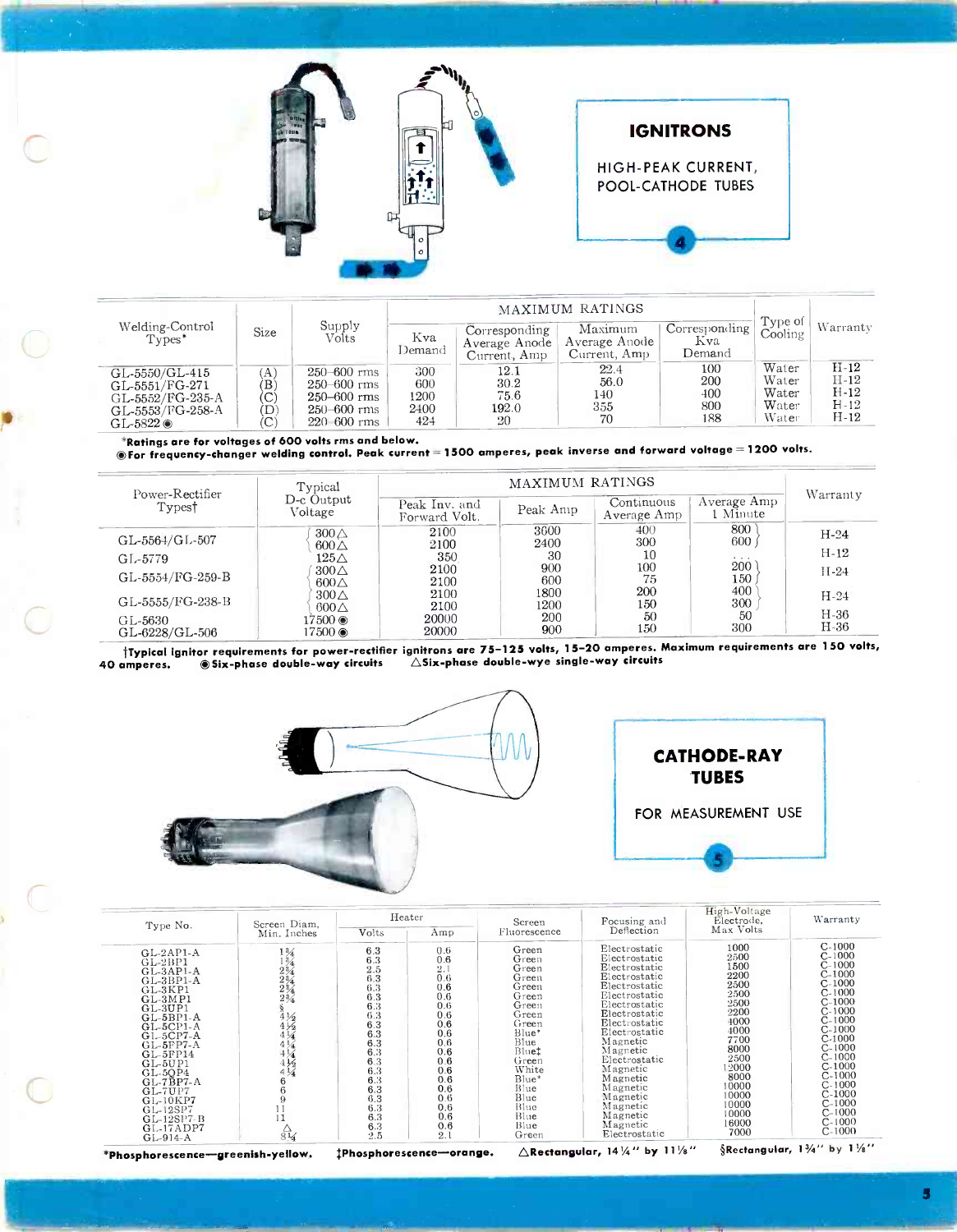



| Welding-Control<br>$Types^*$                                                                | Size                    | Supply<br>Volts                                                                           | Kva<br>Demand                     | Corresponding<br>Average Anode<br>Current, Amp | Maximum<br>Average Anode<br>Current, Amp | Corresponding<br>Kva<br>Demand  | Type of<br>Cooling                        | Warranty                                       |  |
|---------------------------------------------------------------------------------------------|-------------------------|-------------------------------------------------------------------------------------------|-----------------------------------|------------------------------------------------|------------------------------------------|---------------------------------|-------------------------------------------|------------------------------------------------|--|
| GL-5550/GL-415<br>GL-5551/FG-271<br>GL-5552/FG-235-A<br>GL-5553/FG-258-A<br>GL-5822 $\circ$ | (A)<br>ΈB,<br>'C`<br>(D | $250 - 600$ rms<br>$250 - 600$ rms<br>$250 - 600$ rms<br>$250 - 600$ rms<br>$220,600$ rms | 300<br>600<br>1200<br>2400<br>424 | 12.1<br>30.2<br>75.6<br>192.0<br>20            | 22.4<br>56.0<br>140<br>355<br>70         | 100<br>200<br>400<br>800<br>188 | Water<br>Water<br>Water<br>Water<br>Water | $H-12$<br>$H-12$<br>$H-12$<br>$H-12$<br>$H-12$ |  |

\*Ratings are for voltages of 600 volts rms and below.<br>®For frequency-changer welding control. Peak current = 1500 amperes, peak inverse and forward voltage = 1200 volts.

|                                       | Typical                           |                                | MAXIMUM RATINGS |                           |                         |                  |  |  |  |  |
|---------------------------------------|-----------------------------------|--------------------------------|-----------------|---------------------------|-------------------------|------------------|--|--|--|--|
| Power-Rectifier<br>Types <sup>†</sup> | D-c Output<br>Voltage             | Peak Inv. and<br>Forward Volt. | Peak Amp        | Continuous<br>Average Amp | Average Amp<br>l Minute | Warranty         |  |  |  |  |
| GL-5564/GL-507                        | $300\triangle$<br>$600\triangle$  | 2100<br>2100                   | 3600<br>2400    | 400<br>300                | 800<br>600              | $H-24$           |  |  |  |  |
| GL-5779                               | $125\triangle$                    | 350                            | -30             | 10                        | $\cdots$                | $H-12$           |  |  |  |  |
| GL-5554/FG-259-B                      | $300\triangle$<br>$600\triangle$  | 2100<br>2100                   | 900<br>600      | $100\,$<br>75             | 200<br>150              | $II-24$          |  |  |  |  |
| GL-5555/FG-238-B                      | $300\triangle$<br>$600\triangle$  | 2100<br>2100                   | 1800<br>1200    | 200<br>150                | 400<br>300              | $H-24$           |  |  |  |  |
| GL-5630<br>GL-6228/GL-506             | $17500$ $\circledcirc$<br>17500 ◉ | 20000<br>20000                 | 200<br>900      | 50<br>150                 | 50<br>300               | $H-36$<br>$H-36$ |  |  |  |  |

tTypical ignitor requirements for power -rectifier ignitrons are 75-125 volts, 15-20 amperes. Maximum requirements are 150 volts, 40 amperes. 
Six-phase double-way circuits 
ASix-phase double-way circuits





|                                                                                                                                                                                                                                                                                  | Screen Diam.                                                                                                                 |                                                                                                                                          | Heater                                                                                                                                                | Screen                                                                                                                                                                                 | Focusing and                                                                                                                                                                                                                                                                                        | High-Voltage<br>Electrode.                                                                                                                                         | Warranty                                                                                                                                                                                                                                     |
|----------------------------------------------------------------------------------------------------------------------------------------------------------------------------------------------------------------------------------------------------------------------------------|------------------------------------------------------------------------------------------------------------------------------|------------------------------------------------------------------------------------------------------------------------------------------|-------------------------------------------------------------------------------------------------------------------------------------------------------|----------------------------------------------------------------------------------------------------------------------------------------------------------------------------------------|-----------------------------------------------------------------------------------------------------------------------------------------------------------------------------------------------------------------------------------------------------------------------------------------------------|--------------------------------------------------------------------------------------------------------------------------------------------------------------------|----------------------------------------------------------------------------------------------------------------------------------------------------------------------------------------------------------------------------------------------|
| Type No.                                                                                                                                                                                                                                                                         | Min. Inches                                                                                                                  | Volts                                                                                                                                    | Amp                                                                                                                                                   | Fluorescence                                                                                                                                                                           | Deflection                                                                                                                                                                                                                                                                                          | Max Volts                                                                                                                                                          |                                                                                                                                                                                                                                              |
| $GL-2AP1-A$<br>$GL-2BP1$<br>$GL-3AP1-A$<br>$GL-3BP1-A$<br>GL-3KP1<br>$GL-3MP1$<br>$GL-3UP1$<br>$GL-5BP1-A$<br>$GL-5CPI-A$<br>$GL-5CP7-A$<br>$GL-5FP7-A$<br>$GL-5FP14$<br>$GL-5UP1$<br>$GL-5OP4$<br>$GL-7BP7-A$<br>$GL-7UP7$<br>GL-10KP7<br>GL-12SP7<br>GL-12SP7-B<br>$GL-17ADP7$ | $1\frac{3}{4}$<br>$\frac{134}{234}$<br>$4\frac{1}{2}$<br>$4\frac{1}{2}$<br>$4\frac{1}{4}$<br>$\frac{1}{4}$<br>$4\frac{1}{4}$ | 6.3<br>6.3<br>2.5<br>6.3<br>6.3<br>6.3<br>6.3<br>6.3<br>6.3<br>6.3<br>6.3<br>6.3<br>6.3<br>6.3<br>6.3<br>6.3<br>6.3<br>6.3<br>6.3<br>6.3 | 0.6<br>0.6<br>$\overline{2}$ .<br>0.6<br>0.6<br>0.6<br>0.6<br>0.6<br>0.6<br>0.6<br>0.6<br>0.6<br>0.6<br>0.6<br>0.6<br>0.6<br>0.6<br>0.6<br>0.6<br>0.6 | Green<br>Green<br>Green<br>Green<br>Green<br>Green<br>Green<br>Green<br>Green<br>Blue*<br>Blue<br>Blue <sup>t</sup><br>Green<br>White<br>Blue*<br>Blue<br>Blue<br>Blue<br>Blue<br>Blue | Electrostatic<br>Electrostatic<br>Electrostatic<br>Electrostatic<br>Electrostatic<br>Electrostatic<br>Electrostatic<br>Electrostatic<br>Electrostatic<br>Electrostatic<br>Magnetic<br>Magnetic<br>Electrostatic<br>Magnetic<br>Magnetic<br>Magnetic<br>Magnetic<br>Magnetic<br>Magnetic<br>Magnetic | 1000<br>2500<br>1500<br>2200<br>2500<br>2500<br>2500<br>2200<br>4000<br>4000<br>7700<br>8000<br>2500<br>12000<br>8000<br>10000<br>10000<br>10000<br>10000<br>16000 | $C-1000$<br>$C-1000$<br>$C-1000$<br>$C-1000$<br>$C-1000$<br>$C-1000$<br>$C-1000$<br>$C-1000$<br>$C-1000$<br>$C-1000$<br>$C-1000$<br>$C-1000$<br>$C-1000$<br>$C-1000$<br>$C-1000$<br>$C-1000$<br>$C-1000$<br>$C-1000$<br>$C-1000$<br>$C-1000$ |
| $GL-914-A$                                                                                                                                                                                                                                                                       | $rac{1}{814}$                                                                                                                | 2.5                                                                                                                                      | 2.1                                                                                                                                                   | Green                                                                                                                                                                                  | Electrostatic                                                                                                                                                                                                                                                                                       | 7000                                                                                                                                                               | $C-1000$                                                                                                                                                                                                                                     |

\*Phosphorescence-greenish-yellow. #Phosphorescence-orange.

 $\triangle$ Rectangular, 14  $\frac{1}{4}$ " by 11 $\frac{1}{8}$ "

§Rectangular,  $1\frac{3}{4}$ " by  $1\frac{1}{8}$ "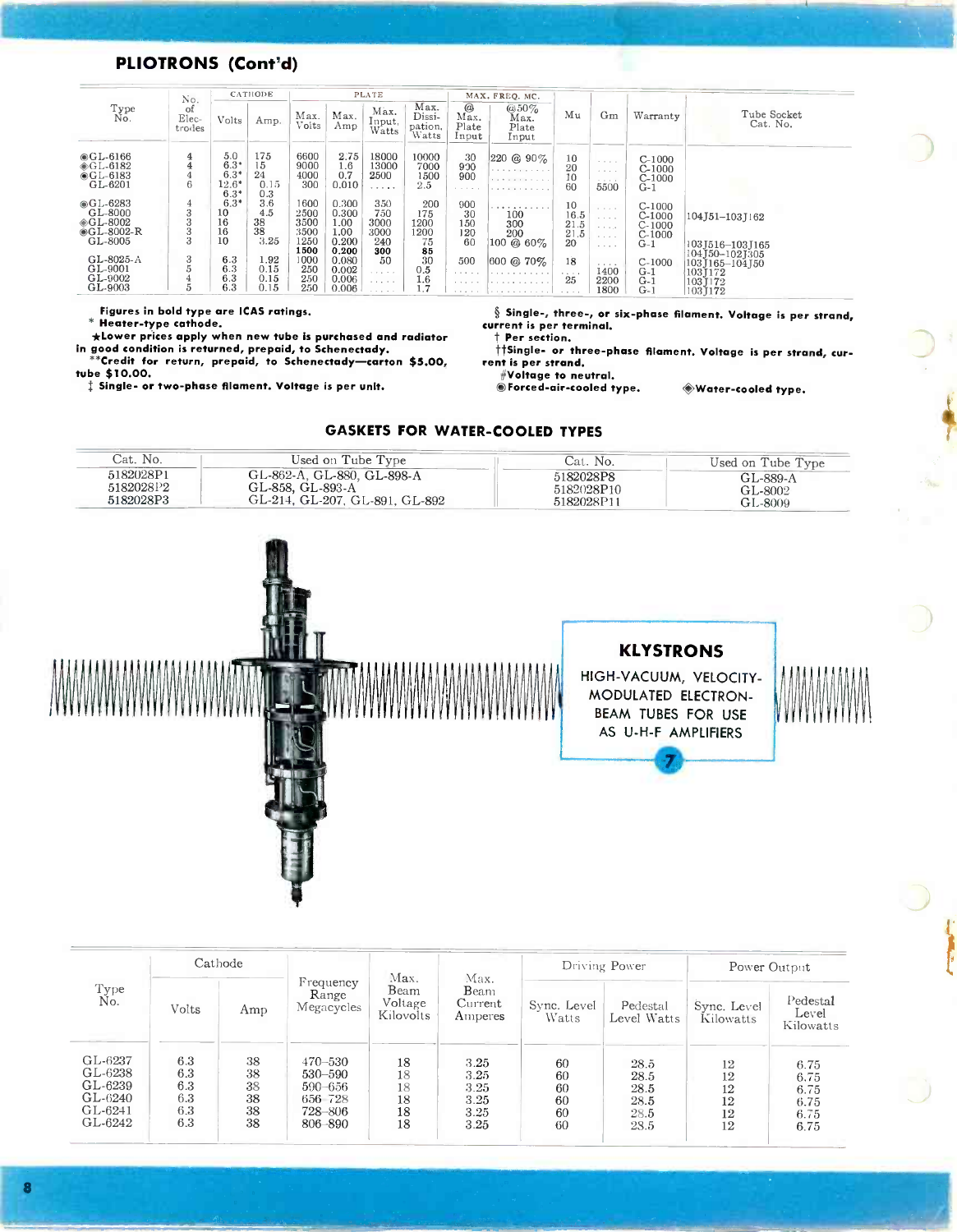### PLIOTRONS (Cont'd)

|                                                              | No.                   |                                              | CATHODE                        |                                              |                                                  | <b>PLATE</b>                             |                                        |                                      | MAX. FREQ. MC.                          |                                  |                                                                              |                                                       |                                                                              |
|--------------------------------------------------------------|-----------------------|----------------------------------------------|--------------------------------|----------------------------------------------|--------------------------------------------------|------------------------------------------|----------------------------------------|--------------------------------------|-----------------------------------------|----------------------------------|------------------------------------------------------------------------------|-------------------------------------------------------|------------------------------------------------------------------------------|
| Type<br>No.                                                  | of<br>Elec-<br>trodes | Volts                                        | Amp.                           | Max.<br>volts                                | Max.<br>Amp                                      | Max.<br>Input,<br>Watts                  | Max.<br>Dissi-<br>pation,<br>Watts     | $^{\circ}$<br>Max.<br>Plate<br>Input | $@50\%$<br>Max.<br>Plate<br>Input       | Mu                               | Gm                                                                           | Warranty                                              | Tube Socket<br>Cat. No.                                                      |
| $@GL-6166$<br>$@GL-6182$<br>$@GL-6183$<br>GL-6201            | $\overline{4}$<br>6   | 5.0<br>$6.3*$<br>$6.3*$<br>$12.6*$<br>$6.3*$ | 175<br>15<br>24<br>0.15<br>0.3 | 6600<br>9000<br>4000<br>300                  | 2.75<br>1.6<br>0.7<br>0.010                      | 18000<br>13000<br>2500<br>.              | 10000<br>7000<br>1500<br>2.5           | -30<br>900<br>900<br>.               | $220 \& 90\%$<br>.<br>.                 | 10<br>20<br>10<br>60             | $\cdots \cdots \cdots$<br>5500                                               | $C-1000$<br>$C-1000$<br>$C-1000$<br>$G-1$             |                                                                              |
| $@GL-6283$<br>GL-8000<br>◈GL-8002<br>$@GL-8002-R$<br>GL-8005 | 4<br>3<br>3<br>3<br>3 | $6.3*$<br>10<br>16<br>16<br>10               | 3.6<br>4.5<br>38<br>38<br>3.25 | 1600<br>2500<br>3500<br>3500<br>1250<br>1500 | 0.300<br>0.300<br>1.00<br>1.00<br>0.200<br>0.200 | 350<br>750<br>3000<br>3000<br>240<br>300 | 200<br>175<br>1200<br>1200<br>75<br>85 | 900<br>30<br>150<br>120<br>60        | .<br>100<br>300<br>200<br>$100 \& 60\%$ | 10<br>16.5<br>21.5<br>21.5<br>20 | $-1 - 1 - 1$<br>All All All A<br>and a series<br>$\sim$ $\sim$ $\sim$ $\sim$ | $C-1000$<br>$C-1000$<br>$C-1000$<br>$C-1000$<br>$G-1$ | 104J51-103J162<br>103J516-103J165                                            |
| GL-8025-A<br>GL-9001<br>GL-9002<br>GL-9003                   | 3<br>5<br>5           | 6.3<br>6.3<br>6.3<br>6.3                     | 1.92<br>0.15<br>0.15<br>0.15   | 1000<br>250<br>250<br>250                    | 0.080<br>0.002<br>0.006<br>0.006                 | 50<br>.<br>.                             | 30<br>0.5<br>1.6                       | 500<br>.                             | $ 600 \t@. 70\%$<br>.                   | 18<br>25                         | $-1 - 1 - 1 = 0$<br>1400<br>2200<br>1800                                     | $C-1000$<br>$G-1$<br>$G-1$<br>$G-1$                   | $104$ J50-102J305<br>103 165-104 150<br>1031172<br>$103$ [ $172$<br>103,1172 |

Figures in bold type are ICAS ratings.

\* Heater -type cathode.

tube \$10.00.

\* Heater-type cathode.<br>
\*Lower prices apply when new tube is purchased and radiator the per section. in good condition is returned, prepaid, to Schenectady. \*\*\*Credit for return, prepaid, to Schenectady -carton \$5.00, ent is per strand.

<sup>+</sup>Single- or two-phase filament. Voltage is per unit.

 $\S$  Single-, three-, or six-phase filament. Voltage is per strand,

t Per section.

tiSingle- or three-phase filament. Voltage is per strand, cur-/Voltage to neutral.

 $\bullet$  Forced-air-cooled type.  $\bullet$  Water-cooled type.

### GASKETS FOR WATER-COOLED TYPES

| Cat. No.  | Used on Tube Type              | Cat. No.   | Used on Tube Type |
|-----------|--------------------------------|------------|-------------------|
| 5182028P1 | GL-862-A, GL-880, GL-898-A     | 5182028P8  | GL-889-A          |
| 5182028P2 | GL-858, GL-893-A               | 5182028P10 | GL-8002           |
| 5182028P3 | GL-214, GL-207, GL-891, GL-892 | 5182028P11 | GL-8009           |



### KLYSTRONS

HIGH-VACUUM, VELOCITY-MODULATED ELECTRON - BEAM TUBES FOR USE AS U-H-F AMPLIFIERS



|                                                                    |                                        | Cathode                          |                                                                | Max.<br>Max.<br>Beam<br>Beam<br>Voltage<br>Current<br>Kilovolts<br>Amperes |                                              |                                  | Driving Power                                | Power Output                     |                                              |  |
|--------------------------------------------------------------------|----------------------------------------|----------------------------------|----------------------------------------------------------------|----------------------------------------------------------------------------|----------------------------------------------|----------------------------------|----------------------------------------------|----------------------------------|----------------------------------------------|--|
| Type<br>Ňo.                                                        | Volts                                  | Amp                              | Frequency<br>Range<br>Megacycles                               |                                                                            | Sync. Level<br>Watts                         | Pedestal<br>Level Watts          | Sync. Level<br>Kilowatts                     | Pedestal<br>Level<br>Kilowatts   |                                              |  |
| GL-6237<br>GL-6238<br>GL-6239<br>$GL-6240$<br>$GL-6241$<br>GL-6242 | 6.3<br>6.3<br>6.3<br>6.3<br>6.3<br>6.3 | 38<br>38<br>38<br>38<br>38<br>38 | 470–530<br>530-590<br>590-656<br>656 728<br>728-806<br>806-890 | 18<br>18<br>18<br>18<br>18<br>18                                           | 3.25<br>3.25<br>3.25<br>3.25<br>3.25<br>3.25 | 60<br>60<br>60<br>60<br>60<br>60 | 28.5<br>28.5<br>28.5<br>28.5<br>28.5<br>28.5 | 12<br>12<br>12<br>12<br>12<br>12 | 6.75<br>6.75<br>6.75<br>6.75<br>6.75<br>6.75 |  |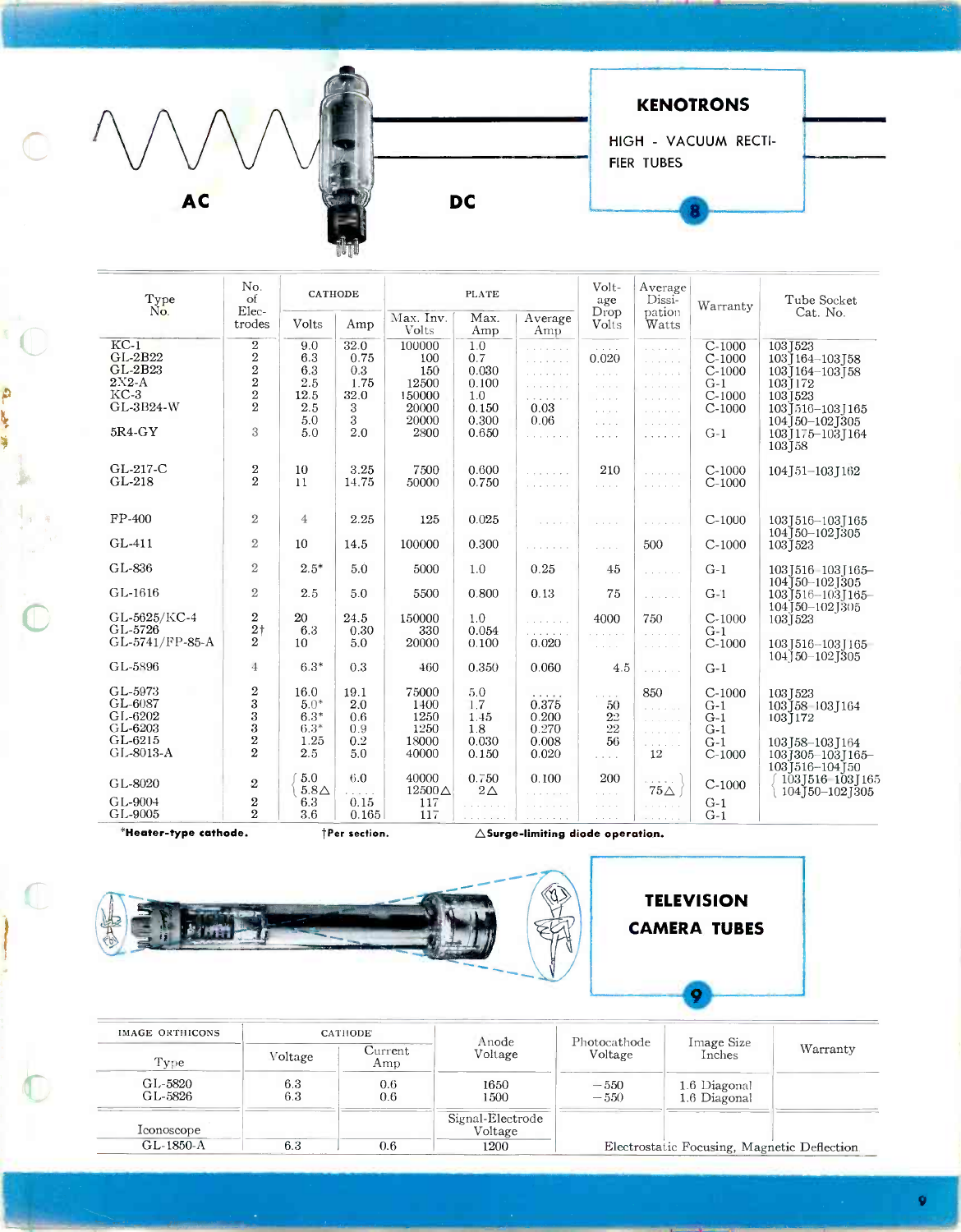

| Type                       | No.<br>of                           | <b>CATHODE</b>        |                      |                        | <b>PLATE</b>          |                                             | Volt-<br>age                                        | Average<br>Dissi-           | Warranty | Tube Socket                               |
|----------------------------|-------------------------------------|-----------------------|----------------------|------------------------|-----------------------|---------------------------------------------|-----------------------------------------------------|-----------------------------|----------|-------------------------------------------|
| Ño.                        | Elec-<br>trodes                     | Volts                 | Amp                  | Max. Inv.<br>Volts     | Max.<br>Amp           | Average<br>Amp                              | Drop<br>Volts                                       | pation<br>Watts             |          | Cat. No.                                  |
| $KC-1$                     | $\,2$                               | 9.0                   | 32.0                 | 100000                 | 1.0                   | .                                           | and and                                             | and a strain                | $C-1000$ | 1031523                                   |
| $GL-2B22$                  | $\,2$                               | 6.3                   | 0.75                 | 100                    | 0.7                   | and a strain of                             | 0.020                                               | and a single                | $C-1000$ | 103 164 - 103 158                         |
| GL-2B23                    | $\frac{2}{2}$                       | 6.3                   | 0.3                  | 150                    | 0.030                 |                                             | $\mathcal{L} \times \mathcal{L} \times \mathcal{L}$ | in strate                   | $C-1000$ | 103] 164-103] 58                          |
| $2X2-A$                    |                                     | 2.5                   | 1.75                 | 12500                  | 0.100                 | .                                           | and a series                                        |                             | $G-1$    | 1031172                                   |
| $KC-3$                     | $\frac{2}{2}$                       | 12.5                  | 32.0                 | 150000                 | 1.0                   | .                                           | $\sim 100$ km s $^{-1}$                             | a a a a a a                 | $C-1000$ | 1031523                                   |
| GL-3B24-W                  |                                     | 2.5                   | 3                    | 20000                  | 0.150                 | 0.03                                        | a series                                            | and a state                 | $C-1000$ | 103   516 - 103   165                     |
|                            |                                     | 5.0                   | 3                    | 20000                  | 0.300                 | 0.06                                        | $\sim$ $\sim$ $\sim$ $\sim$                         | and a strain                |          | 104 50 - 102 305                          |
| $5R4-GY$                   | 3                                   | 5.0                   | 2.0                  | 2800                   | 0.650                 | and a strainer                              | $\alpha$ , $\alpha$ , $\alpha$                      | .                           | $G-1$    | 103 [175-103 ] 164<br>103158              |
| GL-217-C                   | $\,2$                               | 10                    | 3.25                 | 7500                   | 0.600                 | .                                           | 210                                                 | .                           | $C-1000$ | 104   51 - 103   162                      |
| GL-218                     | $\overline{2}$                      | 11                    | 14.75                | 50000                  | 0.750                 | .                                           | and and                                             | and a string of             | $C-1000$ |                                           |
|                            |                                     |                       |                      |                        |                       |                                             |                                                     |                             |          |                                           |
| $FP-400$                   | $\overline{2}$                      | $\overline{4}$        | 2.25                 | 125                    | 0.025                 | .                                           | $\alpha$ , $\alpha$ , $\alpha$ , $\alpha$           | and property                | $C-1000$ | 103J516-103J165                           |
| GL-411                     | $\mathbf{2}$                        | 10                    | 14.5                 | 100000                 | 0.300                 | .                                           | and a series                                        | 500                         | $C-1000$ | 104J50-102J305<br>103 [523                |
| GL-836                     | $\overline{2}$                      | $2.5*$                | 5.0                  | 5000                   | 1.0                   | 0.25                                        | 45                                                  | and a strain                | $G-1$    | 103   516 - 103   165 -                   |
| GL-1616                    | $\overline{2}$                      | 2.5                   | 5.0                  | 5500                   | 0.800                 | 0.13                                        | 75                                                  | a la casación               | $G-1$    | 104]50-102]305<br>103 516 - 103 165 -     |
| GL-5625/KC-4               | $\overline{2}$                      | 20                    | 24.5                 | 150000                 | 1.0                   | .                                           | 4000                                                | 750                         | $C-1000$ | 104 [50-102 ] 305<br>1031523              |
| GL-5726<br>GL-5741/FP-85-A | $2\dagger$<br>$\mathbf{2}^{\prime}$ | 6.3                   | 0.30                 | 330                    | 0.054                 | .                                           | .                                                   | and a string                | $G-1$    |                                           |
|                            |                                     | 10                    | 5.0                  | 20000                  | 0.100                 | 0.020                                       | $\sim 10^{-1}$ .                                    | and a state                 | $C-1000$ | 103 [516-103 ] 165                        |
| GL-5896                    | $\overline{4}$                      | $6.3*$                | 0.3                  | 460                    | 0.350                 | 0.060                                       | 4.5                                                 | and a string                | $G-1$    | $104$ $150 - 102$ $1305$                  |
| GL-5973                    | $\,2\,$                             | 16.0                  | 19.1                 | 75000                  | 5.0                   | 1.1.1.1.1                                   |                                                     | 850                         | $C-1000$ | 1031523                                   |
| GL-6087                    | 3                                   | $5.0*$                | 2.0                  | 1400                   | 1.7                   | 0.375                                       | $\epsilon \rightarrow -\epsilon$<br>50              | and a straight              | $G-1$    | 103 58 103 164                            |
| GL-6202                    | 3                                   | $6.3*$                | 0.6                  | 1250                   | 1.45                  | 0.200                                       | 2 <sup>2</sup>                                      | and a strain                | $G-1$    | 1031172                                   |
| GL-6203                    | $\rm 3$                             | $6.3*$                | 0.9                  | 1250                   | 1.8                   | 0.270                                       | $22\,$                                              | and a strip                 | $G-1$    |                                           |
| GL-6215                    | $\,2$                               | 1.25                  | 0.2                  | 18000                  | 0.030                 | 0.008                                       | 56                                                  | .                           | $G-1$    | 103 [58-103 ] 164                         |
| GL-8013-A                  | $\overline{2}$                      | 2.5                   | 5.0                  | 40000                  | 0.150                 | 0.020                                       | $\sim$ $\sim$ $\sim$ $\sim$                         | 12                          | $C-1000$ | 103]305-103J165-<br>103 516 - 104 50      |
| GL-8020                    | 2                                   | 5.0<br>$5.8\triangle$ | 6.0<br>a shekara     | 40000<br>$12500\Delta$ | 0.750<br>$2\triangle$ | 0.100<br>.                                  | 200<br>and and                                      | control of<br>$75\triangle$ | $C-1000$ | 103J516 103J165<br>$104$ J 50 - 102 J 305 |
| GL-9004                    | $\boldsymbol{2}$                    | 6.3                   | 0.15                 | 117                    |                       |                                             | i sa s                                              | and a strain and            | $G-1$    |                                           |
| GL-9005                    | $\overline{2}$                      | 3.6                   | 0.165                | 117                    |                       |                                             | $\alpha$ , $\alpha$ , $\alpha$ , $\alpha$           | and a strain                | $G-1$    |                                           |
| *Heater-type cathode.      |                                     |                       | <b>TPer section.</b> |                        |                       | $\triangle$ Surge-limiting diode operation. |                                                     |                             |          |                                           |

 $\frac{1}{2}$ 

ý

 $\mathbb{C}$ 



| IMAGE ORTHICONS    |            | <b>CATHODE</b> | Anode                       | Photocathode     |                                             |          |
|--------------------|------------|----------------|-----------------------------|------------------|---------------------------------------------|----------|
| Type               | Voltage    | Current<br>Amp | Voltage                     | Voltage          | Image Size<br>Inches                        | Warranty |
| GL-5820<br>GL-5826 | 6.3<br>6.3 | 0.6<br>0.6     | 1650<br>1500                | $-550$<br>$-550$ | 1.6 Diagonal<br>1.6 Diagonal                |          |
| Iconoscope         |            |                | Signal-Electrode<br>Voltage |                  |                                             |          |
| GL-1850-A          | 6.3        | $0.6\,$        | 1200                        |                  | Electrostatic Focusing, Magnetic Deflection |          |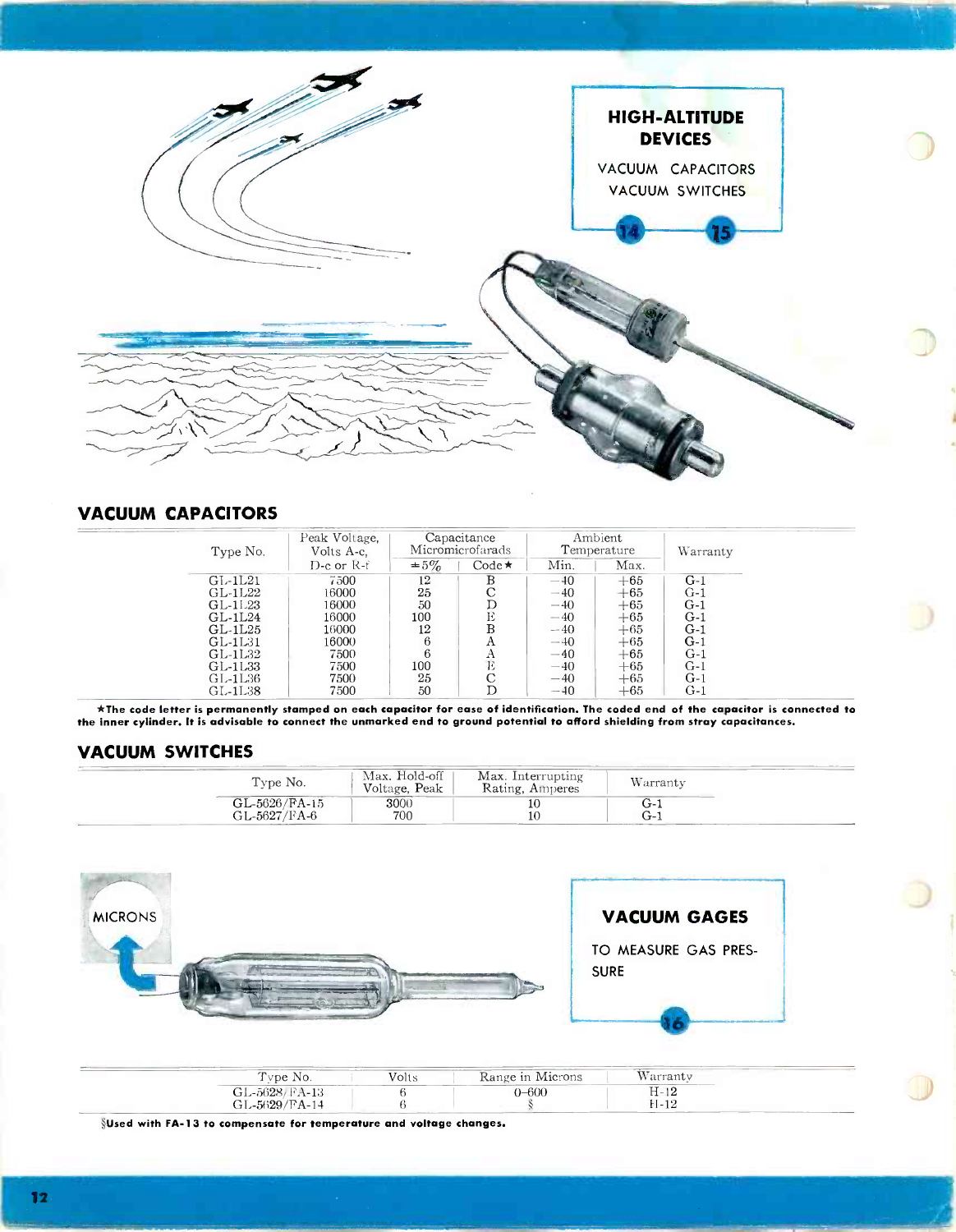

# VACUUM CAPACITORS

| Type No.  | Peak Voltage,<br>Volts A-c. |           | Capacitance<br>Micromicrofarads |       | Ambient<br>Temperature | Warranty |  |
|-----------|-----------------------------|-----------|---------------------------------|-------|------------------------|----------|--|
|           | $D$ -c or $R$ -f            | $\pm 5\%$ | $Code \star$                    | Min.  | Max.                   |          |  |
| $GL-1L21$ | 7500                        | 12        | в                               | $-40$ | $+65$                  | $G-1$    |  |
| GL-1L22   | 16000                       | 25        | С                               | $-40$ | $+65$                  | $G-1$    |  |
| GL-11.23  | 16000                       | 50        |                                 | $-40$ | $+65$                  | $G-1$    |  |
| GL-1L24   | 16000                       | 100       | Ε                               | $-40$ | $+65$                  | $G-1$    |  |
| GL-1L25   | 16000                       | 12        | B                               | $-40$ | $+65$                  | $G-1$    |  |
| GL-1L31   | 16000                       | 6         | А                               | $-40$ | $+65$                  | $G-1$    |  |
| GL-1L32   | 7500                        | 6         | А                               | $-40$ | $+65$                  | $G-1$    |  |
| GL-1L33   | 7500                        | 100       | Е                               | $-40$ | $+65$                  | $G-1$    |  |
| GL-1L36   | 7500                        | 25        | С                               | $-40$ | $+65$                  | $G-1$    |  |
| GL-1L38   | 7500                        | 50        | D                               | $-40$ | $+65$                  | $G-1$    |  |

\*The code letter is permanently stamped on each capacitor for ease of identification. The coded end of the capacitor is connected to the inner cylinder. It is advisable to connect the unmarked end to ground potential to afford shielding from stray capacitances.

# VACUUM SWITCHES

| Type No.                      | Max. Hold-off<br>Voltage, Peak | Max. Interrupting<br>Rating, Amperes | Warranty     | ________ |  |
|-------------------------------|--------------------------------|--------------------------------------|--------------|----------|--|
| GL-5626/FA-15<br>GL-5627/FA-6 | 3000<br>700                    | . .                                  | ι−⊾<br>$G-1$ |          |  |



| vpe No.       | Volts<br>Range in Microns |           | $- - -$<br>warranty |  |
|---------------|---------------------------|-----------|---------------------|--|
| GL-5628/FA-13 |                           | $0 - 600$ | T10<br>H-12         |  |
| GL-5629/FA-14 |                           |           | 11 10<br>EI-14      |  |

SUsed with FA-13 to compensate for temperature and voltage changes.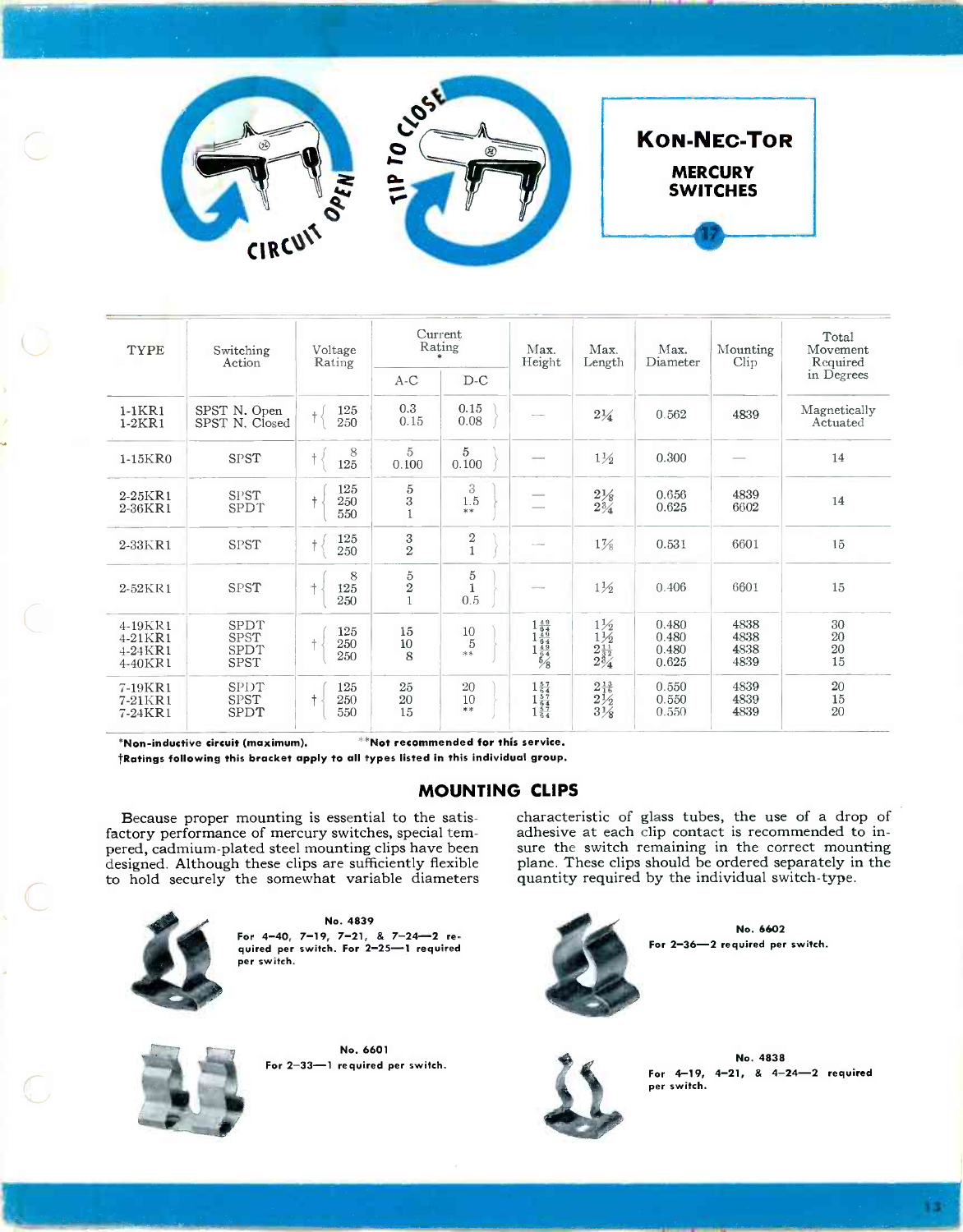

 $\equiv$ 



| <b>TYPE</b>                                  | Switching<br>Action                        | Voltage<br>Rating               | Current<br>Rating                                     |                                            | Max.<br>Height                                                                                                             | Max.<br>Length                                                            | Max.<br>Diameter                 | Mounting<br>$\text{Clip}$    | Total<br>Movement<br>Required       |
|----------------------------------------------|--------------------------------------------|---------------------------------|-------------------------------------------------------|--------------------------------------------|----------------------------------------------------------------------------------------------------------------------------|---------------------------------------------------------------------------|----------------------------------|------------------------------|-------------------------------------|
|                                              |                                            |                                 | $A-C$                                                 | $D-C$                                      |                                                                                                                            |                                                                           |                                  |                              | in Degrees                          |
| $1-1KR1$<br>$1-2KR1$                         | SPST N. Open<br>SPST N. Closed             | 125<br>$\dagger$<br>$250\,$     | 0.3<br>0.15                                           | 0.15<br>$0.08\,$                           |                                                                                                                            | $2\frac{1}{4}$                                                            | 0.562                            | 4839                         | Magnetically<br>Actuated            |
| $1-15KR0$                                    | <b>SPST</b>                                | 8<br>$\ddagger$<br>125          | 5<br>0.100                                            | 5<br>0.100                                 |                                                                                                                            | $1\frac{1}{2}$                                                            | 0.300                            |                              | 14                                  |
| $2-25KR1$<br>2-36KR1                         | <b>SPST</b><br><b>SPDT</b>                 | 125<br>250<br>550               | $\begin{array}{c} 5 \\ 3 \end{array}$<br>$\mathbf{1}$ | 3<br>1.5<br>$**$                           |                                                                                                                            | $_{\substack{2\% \\ 2\%}}$                                                | 0.656<br>0.625                   | 4839<br>6602                 | 14                                  |
| 2-33KR1                                      | SPST                                       | 125<br>$\dagger$<br>250         | $\frac{3}{2}$                                         | $\begin{smallmatrix}2\1\end{smallmatrix}$  |                                                                                                                            | $1\frac{7}{8}$                                                            | 0.531                            | 6601                         | 15                                  |
| $2-52KR1$                                    | SPST                                       | 8<br>斗<br>125<br>250            | $5\over 2$                                            | $^5_1$<br>0.5                              |                                                                                                                            | $1\frac{1}{2}$                                                            | 0.406                            | 6601                         | 15                                  |
| 4-19KR1<br>$4-21KR1$<br>$4-24KR1$<br>4-40KR1 | SPDT<br><b>SPST</b><br>SPDT<br><b>SPST</b> | 125<br>$+$<br>250<br>250        | 15<br>10<br>8                                         | $\genfrac{}{}{0pt}{}{10}{5}$<br>$\ast\ast$ | $\begin{array}{r} 1 \frac{49}{64} \\ 1 \frac{49}{64} \\ 1 \frac{49}{64} \\ 1 \frac{49}{64} \\ 5 \overline{)8} \end{array}$ | $\substack{1 \times 2 \\ 1 \times 2 \\ 2 \frac{11}{32} \\ 2 \frac{3}{4}}$ | 0.480<br>0.480<br>0.480<br>0.625 | 4838<br>4838<br>4838<br>4839 | $\substack{30\\20}$<br>$20\,$<br>15 |
| 7-19KR1<br>7-21KR1<br>7-24KR1                | SPDT<br>SPST<br>SPDT                       | 125<br>$\ddagger$<br>250<br>550 | 25<br>20<br>15                                        | 20<br>10<br>**                             | $\begin{array}{c}\n1\frac{57}{64} \\ 1\frac{57}{64} \\ 1\frac{57}{64} \\ 1\frac{57}{64}\n\end{array}$                      | $2\frac{13}{16}$<br>$2\frac{1}{2}$<br>$3\frac{1}{8}$                      | 0.550<br>0.550<br>0.550          | 4839<br>4839<br>4839         | 20<br>$15\,$<br>20                  |

\*\*Not recommended for this service. \*Non-inductive circuit (maximum). \*Ratings following this bracket apply to all types listed in this individual group.

**MOUNTING CLIPS** 

Because proper mounting is essential to the satisfactory performance of mercury switches, special tempered, cadmium-plated steel mounting clips have been designed. Although these clips are sufficiently flexible to hold securely the somewhat variable diameters



No. 4839 For  $4-40$ ,  $7-19$ ,  $7-21$ , &  $7-24-2$  required per switch. For 2-25-1 required per switch.



No. 6601 For 2-33-1 required per switch.

characteristic of glass tubes, the use of a drop of adhesive at each clip contact is recommended to insure the switch remaining in the correct mounting plane. These clips should be ordered separately in the quantity required by the individual switch-type.

**KON-NEC-TOR** 

**MERCURY** 

**SWITCHES** 



No. 6602 For 2-36-2 required per switch.



No. 4838 For  $4-19$ ,  $4-21$ ,  $8$   $4-24-2$  required per switch.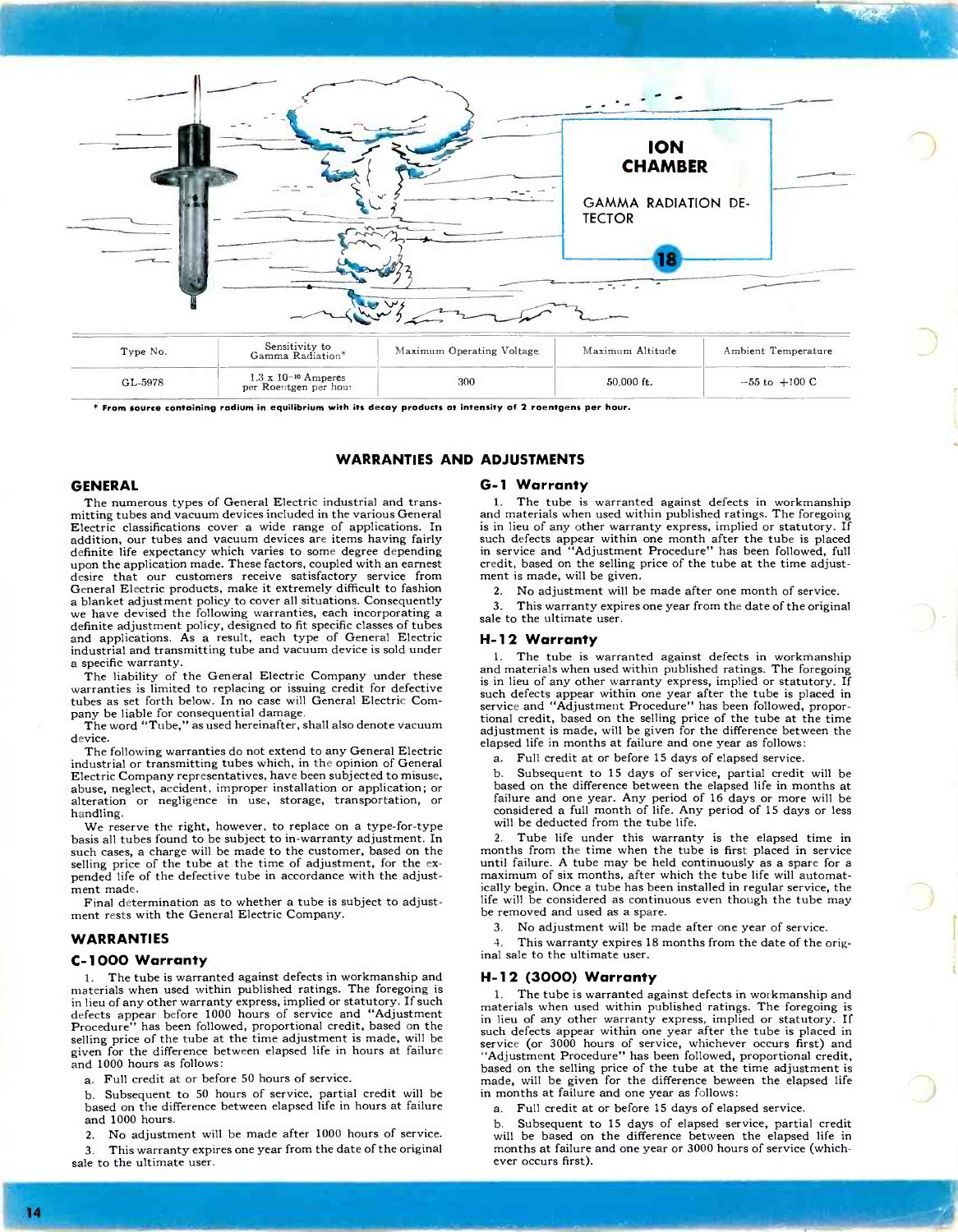

\* From source containing radium in equilibrium with its decay products at intensity of 2 roentgens per hour.

#### WARRANTIES AND ADJUSTMENTS

#### GENERAL

The numerous types of General Electric industrial and transmitting tubes and vacuum devices included in the various General Electric classifications cover a wide range of applications. In addition, our tubes and vacuum devices are items having fairly definite life expectancy which varies to some degree depending upon the application made. These factors, coupled with an earnest desire that our customers receive satisfactory service from<br>General Electric products, make it extremely difficult to fashion exploited processes in the policy to cover all situations. Consequently<br>we have devised the following warranties, each incorporating a and applications. As a result, each type of General Electric and applications. As a result, each type of General Electric industrial and transmitting tube and vacuum device is sold under a specific warranty.

The liability of the General Electric Company under these warranties is limited to replacing or issuing credit for defective tubes as set forth below. In no case will General Electric Com-

pany be liable for consequential damage. The word "Tube," as used hereinafter, shall also denote vacuum device.

The following warranties do not extend to any General Electric industrial or transmitting tubes which, in the opinion of General Electric Company representatives, have been subjected to misuse, alteration or negligence in use, storage, transportation, or handling.

We reserve the right, however, to replace on a type-for-type basis all tubes found to be subject to in -warranty adjustment. In such cases, a charge will be made to the customer, based on the selling price of the tube at the time of adjustment, for the expended life of the defective tube in accordance with the adjustment made.

Final determination as to whether a tube is subject to adjustment rests with the General Electric Company.

#### WARRANTIES

#### C-1000 Warranty

1. The tube is warranted against defects in workmanship and materials when used within published ratings. The foregoing is in lieu of any other warranty express, implied or statutory. If such defects appear before 1000 hours of service and "Adjustment Procedure" has been followed, proportional credit, based on the selling price of the tube at the time adjustment is made, will be given for the difference between elapsed life in hours at failure and 1000 hours as follows:

a. Full credit at or before 50 hours of service.

b. Subsequent to 50 hours of service, partial credit will be based on the difference between elapsed life in hours at failure and 1000 hours.

2. No adjustment will be made after 1000 hours of service.

This warranty expires one year from the date of the original sale to the ultimate user.

#### G-1 Warranty

1. The tube is warranted against defects in workmanship and materials when used within published ratings. The foregoing is in lieu of any other warranty express, implied or statutory. If such defects appear within one month after the tube is placed in service and "Adjustment Procedure" has been followed, full credit, based on the selling price of the tube at the time adjustment is made, will be given.

2. No adjustment will be made after one month of service.

3. This warranty expires one year from the date of the original sale to the ultimate user.

#### H-12 Warranty

1. The tube is warranted against defects in workmanship and materials when used within published ratings. The foregoing is in lieu of any other warranty express, implied or statutory. If such defects appear within one year after the tube is placed in service and "Adjustment Procedure" has been followed, proportional credit, based on the selling price of the tube at the time adjustment is made, will be given for the difference between the elapsed life in months at failure and one year as follows:

a. Full credit at or before 15 days of elapsed service.

b. Subsequent to 15 days of service, partial credit will be based on the difference between the elapsed life in months at failure and one year. Any period of 16 days or more will be considered a full month of life. Any period of 15 days or less will be deducted from the tube life.

2. Tube life under this warranty is the elapsed time in months from the time when the tube is first placed in service until failure. A tube may be held continuously as a spare for a maximum of six months, after which the tube life will automatically begin. Once a tube has been installed in regular service, the life will be considered as continuous even though the tube may be removed and used as a spare.

3. No adjustment will be made after one year of service.

This warranty expires 18 months from the date of the original sale to the ultimate user.

#### H-12 (3000) Warranty

The tube is warranted against defects in workmanship and materials when used within published ratings. The foregoing is in lieu of any other warranty express, implied or statutory. If such defects appear within one year after the tube is placed in service (or 3000 hours of service, whichever occurs first) and "Adjustment Procedure" has been followed, proportional credit, based on the selling price of the tube at the time adjustment is made, will be given for the difference beween the elapsed life in months at failure and one year as follows:

Full credit at or before 15 days of elapsed service.

b. Subsequent to 15 days of elapsed service, partial credit will be based on the difference between the elapsed life in months at failure and one year or 3000 hours of service (which- ever occurs first).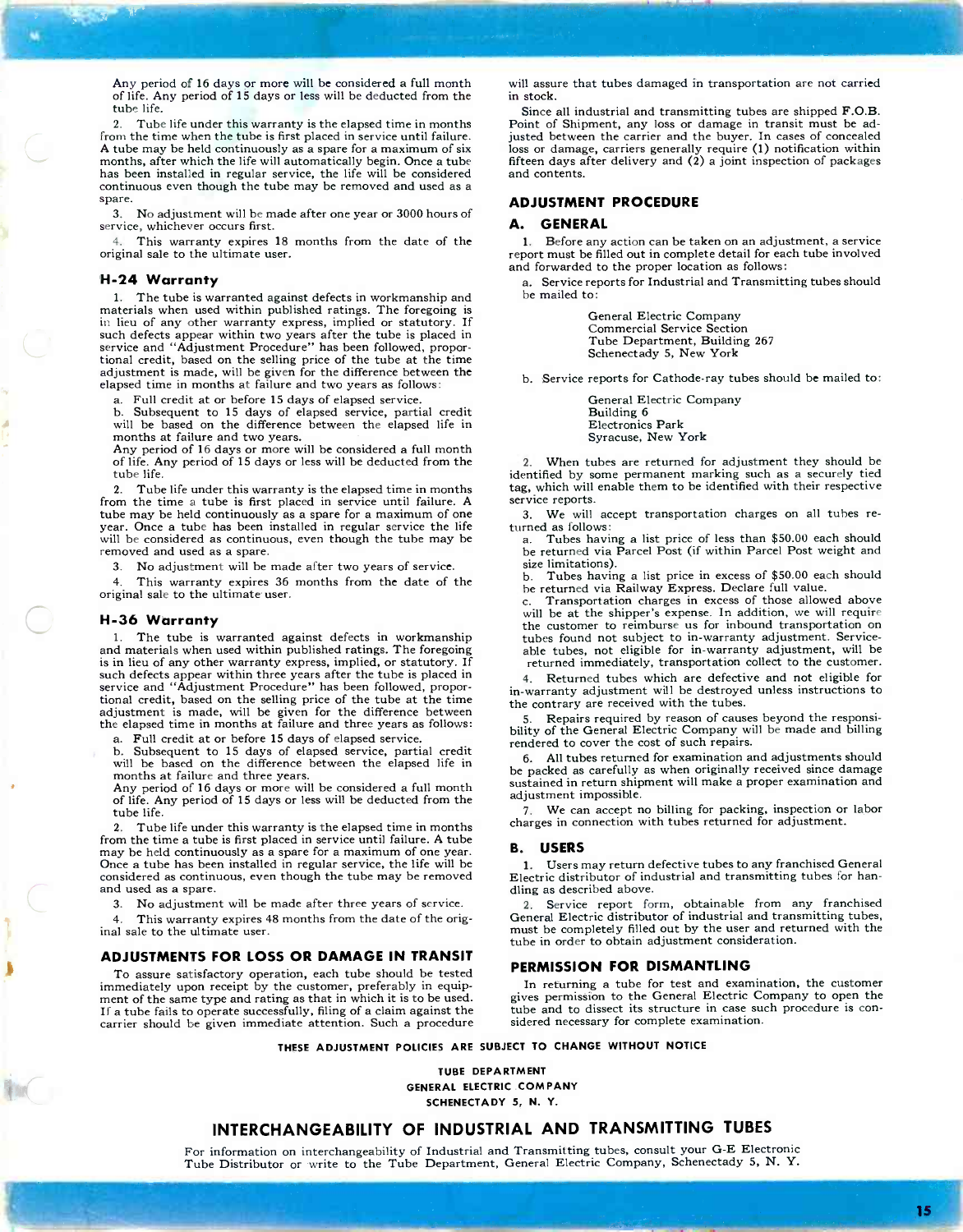Any period of 16 days or more will be considered a full month of life. Any period of 15 days or less will be deducted from the tube life.

2. Tube life under this warranty is the elapsed time in months from the time when the tube is first placed in service until failure. A tube may be held continuously as a spare for a maximum of six months, after which the life will automatically begin. Once a tube has been installed in regular service, the life will be considered continuous even though the tube may be removed and used as a spare.

3. No adjustment will be made after one year or 3000 hours of service, whichever occurs first.

4. This warranty expires 18 months from the date of the original sale to the ultimate user.

#### H-24 Warranty

1. The tube is warranted against defects in workmanship and materials when used within published ratings. The foregoing is in lieu of any other warranty express, implied or statutory. If such defects appear within two years after the tube is placed in service and "Adjustment Procedure" has been followed, propor- tional credit, based on the selling price of the tube at the time adjustment is made, will be given for the difference between the elapsed time in months at failure and two years as follows:

a. Full credit at or before 15 days of elapsed service.

b. Subsequent to 15 days of elapsed service, partial credit will be based on the difference between the elapsed life in months at failure and two years. Any period of 16 days or more will be considered a full month

of life. Any period of 15 days or less will be deducted from the tube life.

2. Tube life under this warranty is the elapsed time in months from the time a tube is first placed in service until failure. A year. Once a tube has been installed in regular service the life will be considered as continuous, even though the tube may be removed and used as a spare.

No adjustment will be made after two years of service.

4. This warranty expires 36 months from the date of the original sale to the ultimate user.

#### H-36 Warranty

The tube is warranted against defects in workmanship and materials when used within published ratings. The foregoing is in lieu of any other warranty express, implied, or statutory. If such defects appear within three years after the tube is placed in service and "Adjustment Procedure" has been followed, proportional credit, based on the selling price of the tube at the time adjustment is made, will be given for the difference between the elapsed time in months at failure and three years as follows:

a. Full credit at or before 15 days of elapsed service.

Subsequent to 15 days of elapsed service, partial credit will be based on the difference between the elapsed life in months at failure and three years.

Any period of 16 days or more will be considered a full month of life. Any period of 15 days or less will be deducted from the tube life.

2. Tube life under this warranty is the elapsed time in months from the time a tube is first placed in service until failure. A tube may be held continuously as a spare for a maximum of one year. Once a tube has been installed in regular service, the life will be considered as continuous, even though the tube may be removed and used as a spare.

3. No adjustment will be made after three years of service.

This warranty expires 48 months from the date of the original sale to the ultimate user.

#### ADJUSTMENTS FOR LOSS OR DAMAGE IN TRANSIT

To assure satisfactory operation, each tube should be tested immediately upon receipt by the customer, preferably in equipment of the same type and rating as that in which it is to be used. If a tube fails to operate successfully, filing of a claim against the carrier should be given immediate attention. Such a procedure

will assure that tubes damaged in transportation are not carried in stock.

Since all industrial and transmitting tubes are shipped F.O.B. Point of Shipment, any loss or damage in transit must be adjusted between the carrier and the buyer. In cases of concealed loss or damage, carriers generally require (1) notification within fifteen days after delivery and (2) a joint inspection of packages and contents.

#### ADJUSTMENT PROCEDURE

#### A. GENERAL

1. Before any action can be taken on an adjustment, a service report must be filled out in complete detail for each tube involved and forwarded to the proper location as follows:

a. Service reports for Industrial and Transmitting tubes should be mailed to:

> General Electric Company Commercial Service Section Tube Department, Building 267 Schenectady 5, New York

b. Service reports for Cathode-ray tubes should be mailed to:

General Electric Company Building 6 Electronics Park Syracuse, New York

2. When tubes are returned for adjustment they should be identified by some permanent marking such as a securely tied tag, which will enable them to be identified with their respective service reports.

3. We will accept transportation charges on all tubes re- turned as follows: a. Tubes having a list price of less than \$50.00 each should

be returned via Parcel Post (if within Parcel Post weight and size limitations).<br>b. Tubes havir

Tubes having a list price in excess of \$50.00 each should be returned via Railway Express. Declare full value.<br>
c. Transportation charges in excess of those allow

Transportation charges in excess of those allowed above will be at the shipper's expense. In addition, we will require the customer to reimburse us for inbound transportation on tubes found not subject to in-warranty adjustment. Serviceable tubes, not eligible for in -warranty adjustment, will be returned immediately, transportation collect to the customer.

4. Returned tubes which are defective and not eligible for in -warranty adjustment will be destroyed unless instructions to the contrary are received with the tubes.

Repairs required by reason of causes beyond the responsibility of the General Electric Company will be made and billing rendered to cover the cost of such repairs.

6. All tubes returned for examination and adjustments should be packed as carefully as when originally received since damage sustained in return shipment will make a proper examination and adjustment impossible.

7. We can accept no billing for packing, inspection or labor charges in connection with tubes returned for adjustment.

#### B. USERS

1. Users may return defective tubes to any franchised General Electric distributor of industrial and transmitting tubes for handling as described above.

2. Service report form, obtainable from any franchised General Electric distributor of industrial and transmitting tubes, must be completely filled out by the user and returned with the tube in order to obtain adjustment consideration.

#### PERMISSION FOR DISMANTLING

In returning a tube for test and examination, the customer gives permission to the General Electric Company to open the tube and to dissect its structure in case such procedure is con- sidered necessary for complete examination.

THESE ADJUSTMENT POLICIES ARE SUBJECT TO CHANGE WITHOUT NOTICE

TUBE DEPARTMENT GENERAL ELECTRIC COMPANY SCHENECTADY 5, N. Y.

### INTERCHANGEABILITY OF INDUSTRIAL AND TRANSMITTING TUBES

For information on interchangeability of Industrial and Transmitting tubes, consult your G -E Electronic Tube Distributor or write to the Tube Department, General Electric Company, Schenectady 5, N. Y.